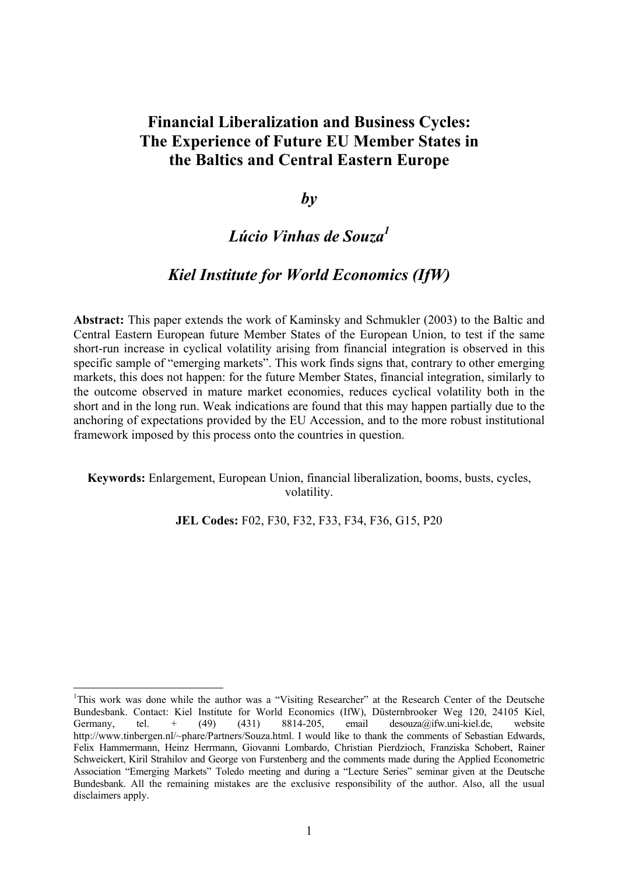# **Financial Liberalization and Business Cycles: The Experience of Future EU Member States in the Baltics and Central Eastern Europe**

 $b\nu$ 

# *Lúcio Vinhas de Souz[a1](#page-0-0)*

# *Kiel Institute for World Economics (IfW)*

**Abstract:** This paper extends the work of Kaminsky and Schmukler (2003) to the Baltic and Central Eastern European future Member States of the European Union, to test if the same short-run increase in cyclical volatility arising from financial integration is observed in this specific sample of "emerging markets". This work finds signs that, contrary to other emerging markets, this does not happen: for the future Member States, financial integration, similarly to the outcome observed in mature market economies, reduces cyclical volatility both in the short and in the long run. Weak indications are found that this may happen partially due to the anchoring of expectations provided by the EU Accession, and to the more robust institutional framework imposed by this process onto the countries in question.

#### **Keywords:** Enlargement, European Union, financial liberalization, booms, busts, cycles, volatility.

**JEL Codes:** F02, F30, F32, F33, F34, F36, G15, P20

<span id="page-0-0"></span><sup>&</sup>lt;sup>1</sup>This work was done while the author was a "Visiting Researcher" at the Research Center of the Deutsche Bundesbank. Contact: Kiel Institute for World Economics (IfW), Düsternbrooker Weg 120, 24105 Kiel, Germany, tel.  $+$  (49) (431) 8814-205, email desouza@ifw.uni-kiel.de, website http://www.tinbergen.nl/~phare/Partners/Souza.html. I would like to thank the comments of Sebastian Edwards, Felix Hammermann, Heinz Herrmann, Giovanni Lombardo, Christian Pierdzioch, Franziska Schobert, Rainer Schweickert, Kiril Strahilov and George von Furstenberg and the comments made during the Applied Econometric Association "Emerging Markets" Toledo meeting and during a "Lecture Series" seminar given at the Deutsche Bundesbank. All the remaining mistakes are the exclusive responsibility of the author. Also, all the usual disclaimers apply.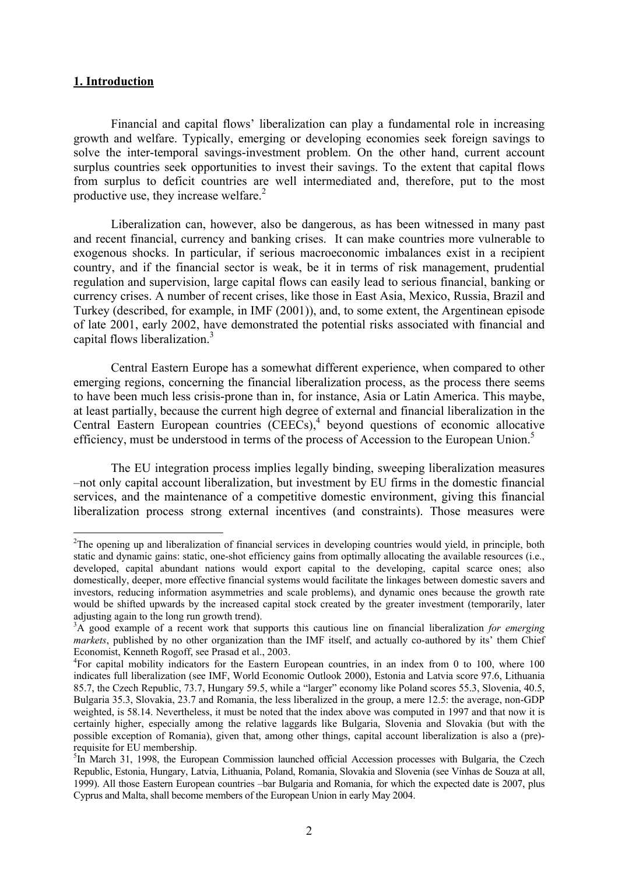#### **1. Introduction**

1

Financial and capital flows' liberalization can play a fundamental role in increasing growth and welfare. Typically, emerging or developing economies seek foreign savings to solve the inter-temporal savings-investment problem. On the other hand, current account surplus countries seek opportunities to invest their savings. To the extent that capital flows from surplus to deficit countries are well intermediated and, therefore, put to the most productiveuse, they increase welfare. $2$ 

Liberalization can, however, also be dangerous, as has been witnessed in many past and recent financial, currency and banking crises. It can make countries more vulnerable to exogenous shocks. In particular, if serious macroeconomic imbalances exist in a recipient country, and if the financial sector is weak, be it in terms of risk management, prudential regulation and supervision, large capital flows can easily lead to serious financial, banking or currency crises. A number of recent crises, like those in East Asia, Mexico, Russia, Brazil and Turkey (described, for example, in IMF (2001)), and, to some extent, the Argentinean episode of late 2001, early 2002, have demonstrated the potential risks associated with financial and capital flows liberalization.<sup>[3](#page-1-1)</sup>

Central Eastern Europe has a somewhat different experience, when compared to other emerging regions, concerning the financial liberalization process, as the process there seems to have been much less crisis-prone than in, for instance, Asia or Latin America. This maybe, at least partially, because the current high degree of external and financial liberalization in the Central Eastern European countries (CEECs),<sup>4</sup> beyond questions of economic allocative efficiency, must be understood in terms of the process of Accession to the European Union.<sup>[5](#page-1-3)</sup>

The EU integration process implies legally binding, sweeping liberalization measures –not only capital account liberalization, but investment by EU firms in the domestic financial services, and the maintenance of a competitive domestic environment, giving this financial liberalization process strong external incentives (and constraints). Those measures were

<span id="page-1-0"></span><sup>&</sup>lt;sup>2</sup>The opening up and liberalization of financial services in developing countries would yield, in principle, both static and dynamic gains: static, one-shot efficiency gains from optimally allocating the available resources (i.e., developed, capital abundant nations would export capital to the developing, capital scarce ones; also domestically, deeper, more effective financial systems would facilitate the linkages between domestic savers and investors, reducing information asymmetries and scale problems), and dynamic ones because the growth rate would be shifted upwards by the increased capital stock created by the greater investment (temporarily, later adjusting again to the long run growth trend).

<span id="page-1-1"></span><sup>&</sup>lt;sup>3</sup>A good example of a recent work that supports this cautious line on financial liberalization *for emerging markets*, published by no other organization than the IMF itself, and actually co-authored by its' them Chief Economist, Kenneth Rogoff, see Prasad et al., 2003.

<span id="page-1-2"></span>For capital mobility indicators for the Eastern European countries, in an index from 0 to 100, where 100 indicates full liberalization (see IMF, World Economic Outlook 2000), Estonia and Latvia score 97.6, Lithuania 85.7, the Czech Republic, 73.7, Hungary 59.5, while a "larger" economy like Poland scores 55.3, Slovenia, 40.5, Bulgaria 35.3, Slovakia, 23.7 and Romania, the less liberalized in the group, a mere 12.5: the average, non-GDP weighted, is 58.14. Nevertheless, it must be noted that the index above was computed in 1997 and that now it is certainly higher, especially among the relative laggards like Bulgaria, Slovenia and Slovakia (but with the possible exception of Romania), given that, among other things, capital account liberalization is also a (pre) requisite for EU membership. 5

<span id="page-1-3"></span> ${}^{5}$ In March 31, 1998, the European Commission launched official Accession processes with Bulgaria, the Czech Republic, Estonia, Hungary, Latvia, Lithuania, Poland, Romania, Slovakia and Slovenia (see Vinhas de Souza at all, 1999). All those Eastern European countries –bar Bulgaria and Romania, for which the expected date is 2007, plus Cyprus and Malta, shall become members of the European Union in early May 2004.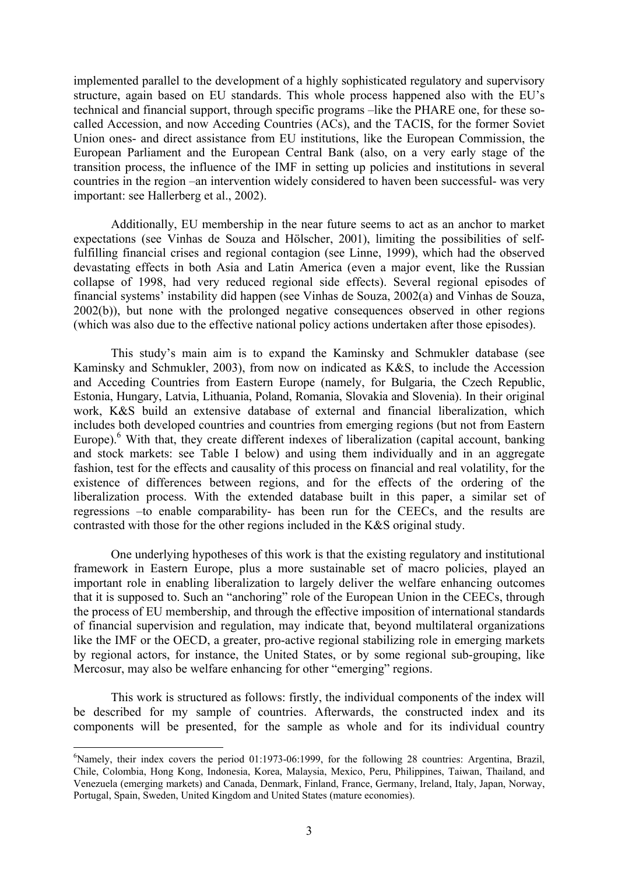implemented parallel to the development of a highly sophisticated regulatory and supervisory structure, again based on EU standards. This whole process happened also with the EU's technical and financial support, through specific programs –like the PHARE one, for these socalled Accession, and now Acceding Countries (ACs), and the TACIS, for the former Soviet Union ones- and direct assistance from EU institutions, like the European Commission, the European Parliament and the European Central Bank (also, on a very early stage of the transition process, the influence of the IMF in setting up policies and institutions in several countries in the region –an intervention widely considered to haven been successful- was very important: see Hallerberg et al., 2002).

Additionally, EU membership in the near future seems to act as an anchor to market expectations (see Vinhas de Souza and Hölscher, 2001), limiting the possibilities of selffulfilling financial crises and regional contagion (see Linne, 1999), which had the observed devastating effects in both Asia and Latin America (even a major event, like the Russian collapse of 1998, had very reduced regional side effects). Several regional episodes of financial systems' instability did happen (see Vinhas de Souza, 2002(a) and Vinhas de Souza, 2002(b)), but none with the prolonged negative consequences observed in other regions (which was also due to the effective national policy actions undertaken after those episodes).

This study's main aim is to expand the Kaminsky and Schmukler database (see Kaminsky and Schmukler, 2003), from now on indicated as K&S, to include the Accession and Acceding Countries from Eastern Europe (namely, for Bulgaria, the Czech Republic, Estonia, Hungary, Latvia, Lithuania, Poland, Romania, Slovakia and Slovenia). In their original work, K&S build an extensive database of external and financial liberalization, which includes both developed countries and countries from emerging regions (but not from Eastern Europe).<sup>[6](#page-2-0)</sup> With that, they create different indexes of liberalization (capital account, banking and stock markets: see Table I below) and using them individually and in an aggregate fashion, test for the effects and causality of this process on financial and real volatility, for the existence of differences between regions, and for the effects of the ordering of the liberalization process. With the extended database built in this paper, a similar set of regressions –to enable comparability- has been run for the CEECs, and the results are contrasted with those for the other regions included in the K&S original study.

One underlying hypotheses of this work is that the existing regulatory and institutional framework in Eastern Europe, plus a more sustainable set of macro policies, played an important role in enabling liberalization to largely deliver the welfare enhancing outcomes that it is supposed to. Such an "anchoring" role of the European Union in the CEECs, through the process of EU membership, and through the effective imposition of international standards of financial supervision and regulation, may indicate that, beyond multilateral organizations like the IMF or the OECD, a greater, pro-active regional stabilizing role in emerging markets by regional actors, for instance, the United States, or by some regional sub-grouping, like Mercosur, may also be welfare enhancing for other "emerging" regions.

This work is structured as follows: firstly, the individual components of the index will be described for my sample of countries. Afterwards, the constructed index and its components will be presented, for the sample as whole and for its individual country

 $\overline{a}$ 

<span id="page-2-0"></span><sup>&</sup>lt;sup>6</sup>Namely, their index covers the period 01:1973-06:1999, for the following 28 countries: Argentina, Brazil, Chile, Colombia, Hong Kong, Indonesia, Korea, Malaysia, Mexico, Peru, Philippines, Taiwan, Thailand, and Venezuela (emerging markets) and Canada, Denmark, Finland, France, Germany, Ireland, Italy, Japan, Norway, Portugal, Spain, Sweden, United Kingdom and United States (mature economies).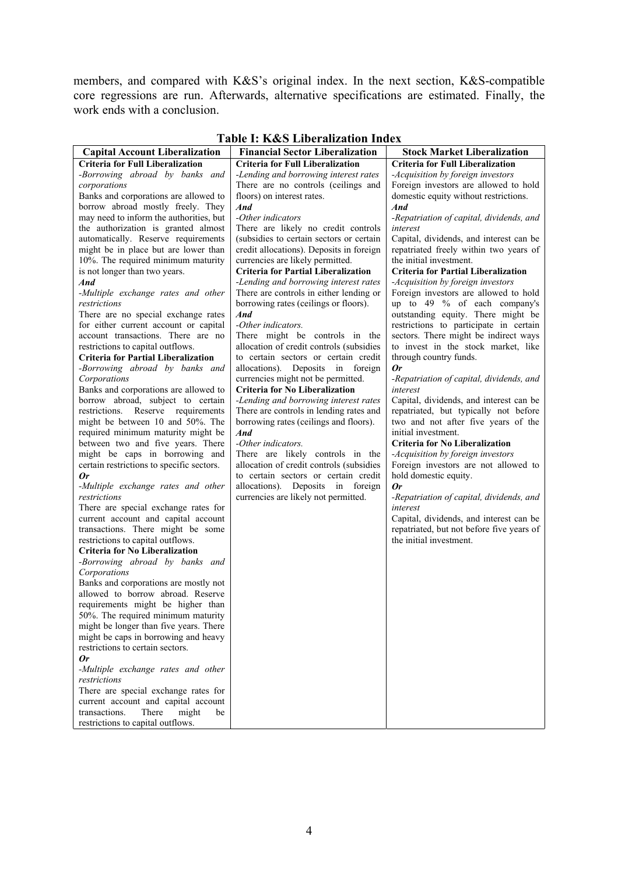members, and compared with K&S's original index. In the next section, K&S-compatible core regressions are run. Afterwards, alternative specifications are estimated. Finally, the work ends with a conclusion.

| <b>Stock Market Liberalization</b><br><b>Capital Account Liberalization</b><br><b>Financial Sector Liberalization</b><br><b>Criteria for Full Liberalization</b><br><b>Criteria for Full Liberalization</b><br><b>Criteria for Full Liberalization</b><br>-Borrowing abroad by banks and<br>-Lending and borrowing interest rates<br>-Acquisition by foreign investors<br>Foreign investors are allowed to hold<br>There are no controls (ceilings and<br>corporations<br>domestic equity without restrictions.<br>Banks and corporations are allowed to<br>floors) on interest rates.<br>borrow abroad mostly freely. They<br>And<br>And<br>-Other indicators<br>may need to inform the authorities, but<br>-Repatriation of capital, dividends, and<br>the authorization is granted almost<br>There are likely no credit controls<br>interest<br>(subsidies to certain sectors or certain<br>automatically. Reserve requirements<br>Capital, dividends, and interest can be<br>might be in place but are lower than<br>credit allocations). Deposits in foreign<br>repatriated freely within two years of<br>10%. The required minimum maturity<br>currencies are likely permitted.<br>the initial investment.<br>is not longer than two years.<br><b>Criteria for Partial Liberalization</b><br><b>Criteria for Partial Liberalization</b><br>And<br>-Lending and borrowing interest rates<br>-Acquisition by foreign investors<br>-Multiple exchange rates and other<br>There are controls in either lending or<br>Foreign investors are allowed to hold |
|--------------------------------------------------------------------------------------------------------------------------------------------------------------------------------------------------------------------------------------------------------------------------------------------------------------------------------------------------------------------------------------------------------------------------------------------------------------------------------------------------------------------------------------------------------------------------------------------------------------------------------------------------------------------------------------------------------------------------------------------------------------------------------------------------------------------------------------------------------------------------------------------------------------------------------------------------------------------------------------------------------------------------------------------------------------------------------------------------------------------------------------------------------------------------------------------------------------------------------------------------------------------------------------------------------------------------------------------------------------------------------------------------------------------------------------------------------------------------------------------------------------------------------------------------------------|
|                                                                                                                                                                                                                                                                                                                                                                                                                                                                                                                                                                                                                                                                                                                                                                                                                                                                                                                                                                                                                                                                                                                                                                                                                                                                                                                                                                                                                                                                                                                                                              |
|                                                                                                                                                                                                                                                                                                                                                                                                                                                                                                                                                                                                                                                                                                                                                                                                                                                                                                                                                                                                                                                                                                                                                                                                                                                                                                                                                                                                                                                                                                                                                              |
|                                                                                                                                                                                                                                                                                                                                                                                                                                                                                                                                                                                                                                                                                                                                                                                                                                                                                                                                                                                                                                                                                                                                                                                                                                                                                                                                                                                                                                                                                                                                                              |
|                                                                                                                                                                                                                                                                                                                                                                                                                                                                                                                                                                                                                                                                                                                                                                                                                                                                                                                                                                                                                                                                                                                                                                                                                                                                                                                                                                                                                                                                                                                                                              |
|                                                                                                                                                                                                                                                                                                                                                                                                                                                                                                                                                                                                                                                                                                                                                                                                                                                                                                                                                                                                                                                                                                                                                                                                                                                                                                                                                                                                                                                                                                                                                              |
|                                                                                                                                                                                                                                                                                                                                                                                                                                                                                                                                                                                                                                                                                                                                                                                                                                                                                                                                                                                                                                                                                                                                                                                                                                                                                                                                                                                                                                                                                                                                                              |
|                                                                                                                                                                                                                                                                                                                                                                                                                                                                                                                                                                                                                                                                                                                                                                                                                                                                                                                                                                                                                                                                                                                                                                                                                                                                                                                                                                                                                                                                                                                                                              |
|                                                                                                                                                                                                                                                                                                                                                                                                                                                                                                                                                                                                                                                                                                                                                                                                                                                                                                                                                                                                                                                                                                                                                                                                                                                                                                                                                                                                                                                                                                                                                              |
|                                                                                                                                                                                                                                                                                                                                                                                                                                                                                                                                                                                                                                                                                                                                                                                                                                                                                                                                                                                                                                                                                                                                                                                                                                                                                                                                                                                                                                                                                                                                                              |
|                                                                                                                                                                                                                                                                                                                                                                                                                                                                                                                                                                                                                                                                                                                                                                                                                                                                                                                                                                                                                                                                                                                                                                                                                                                                                                                                                                                                                                                                                                                                                              |
|                                                                                                                                                                                                                                                                                                                                                                                                                                                                                                                                                                                                                                                                                                                                                                                                                                                                                                                                                                                                                                                                                                                                                                                                                                                                                                                                                                                                                                                                                                                                                              |
|                                                                                                                                                                                                                                                                                                                                                                                                                                                                                                                                                                                                                                                                                                                                                                                                                                                                                                                                                                                                                                                                                                                                                                                                                                                                                                                                                                                                                                                                                                                                                              |
|                                                                                                                                                                                                                                                                                                                                                                                                                                                                                                                                                                                                                                                                                                                                                                                                                                                                                                                                                                                                                                                                                                                                                                                                                                                                                                                                                                                                                                                                                                                                                              |
|                                                                                                                                                                                                                                                                                                                                                                                                                                                                                                                                                                                                                                                                                                                                                                                                                                                                                                                                                                                                                                                                                                                                                                                                                                                                                                                                                                                                                                                                                                                                                              |
| up to 49 $%$ of each company's<br>restrictions<br>borrowing rates (ceilings or floors).                                                                                                                                                                                                                                                                                                                                                                                                                                                                                                                                                                                                                                                                                                                                                                                                                                                                                                                                                                                                                                                                                                                                                                                                                                                                                                                                                                                                                                                                      |
| There are no special exchange rates<br>And<br>outstanding equity. There might be<br>-Other indicators.                                                                                                                                                                                                                                                                                                                                                                                                                                                                                                                                                                                                                                                                                                                                                                                                                                                                                                                                                                                                                                                                                                                                                                                                                                                                                                                                                                                                                                                       |
| for either current account or capital<br>restrictions to participate in certain<br>account transactions. There are no<br>There might be controls in the<br>sectors. There might be indirect ways                                                                                                                                                                                                                                                                                                                                                                                                                                                                                                                                                                                                                                                                                                                                                                                                                                                                                                                                                                                                                                                                                                                                                                                                                                                                                                                                                             |
| restrictions to capital outflows.<br>allocation of credit controls (subsidies<br>to invest in the stock market, like                                                                                                                                                                                                                                                                                                                                                                                                                                                                                                                                                                                                                                                                                                                                                                                                                                                                                                                                                                                                                                                                                                                                                                                                                                                                                                                                                                                                                                         |
| <b>Criteria for Partial Liberalization</b><br>to certain sectors or certain credit<br>through country funds.                                                                                                                                                                                                                                                                                                                                                                                                                                                                                                                                                                                                                                                                                                                                                                                                                                                                                                                                                                                                                                                                                                                                                                                                                                                                                                                                                                                                                                                 |
| -Borrowing abroad by banks and<br>allocations). Deposits in foreign<br>0r                                                                                                                                                                                                                                                                                                                                                                                                                                                                                                                                                                                                                                                                                                                                                                                                                                                                                                                                                                                                                                                                                                                                                                                                                                                                                                                                                                                                                                                                                    |
| currencies might not be permitted.<br>Corporations<br>-Repatriation of capital, dividends, and                                                                                                                                                                                                                                                                                                                                                                                                                                                                                                                                                                                                                                                                                                                                                                                                                                                                                                                                                                                                                                                                                                                                                                                                                                                                                                                                                                                                                                                               |
| <b>Criteria for No Liberalization</b><br>Banks and corporations are allowed to<br>interest                                                                                                                                                                                                                                                                                                                                                                                                                                                                                                                                                                                                                                                                                                                                                                                                                                                                                                                                                                                                                                                                                                                                                                                                                                                                                                                                                                                                                                                                   |
| borrow abroad, subject to certain<br>-Lending and borrowing interest rates<br>Capital, dividends, and interest can be                                                                                                                                                                                                                                                                                                                                                                                                                                                                                                                                                                                                                                                                                                                                                                                                                                                                                                                                                                                                                                                                                                                                                                                                                                                                                                                                                                                                                                        |
| restrictions. Reserve requirements<br>repatriated, but typically not before<br>There are controls in lending rates and                                                                                                                                                                                                                                                                                                                                                                                                                                                                                                                                                                                                                                                                                                                                                                                                                                                                                                                                                                                                                                                                                                                                                                                                                                                                                                                                                                                                                                       |
| might be between 10 and 50%. The<br>borrowing rates (ceilings and floors).<br>two and not after five years of the                                                                                                                                                                                                                                                                                                                                                                                                                                                                                                                                                                                                                                                                                                                                                                                                                                                                                                                                                                                                                                                                                                                                                                                                                                                                                                                                                                                                                                            |
| required minimum maturity might be<br>initial investment.<br>And                                                                                                                                                                                                                                                                                                                                                                                                                                                                                                                                                                                                                                                                                                                                                                                                                                                                                                                                                                                                                                                                                                                                                                                                                                                                                                                                                                                                                                                                                             |
| between two and five years. There<br>-Other indicators.<br>Criteria for No Liberalization                                                                                                                                                                                                                                                                                                                                                                                                                                                                                                                                                                                                                                                                                                                                                                                                                                                                                                                                                                                                                                                                                                                                                                                                                                                                                                                                                                                                                                                                    |
| might be caps in borrowing and<br>There are likely controls in the<br>-Acquisition by foreign investors                                                                                                                                                                                                                                                                                                                                                                                                                                                                                                                                                                                                                                                                                                                                                                                                                                                                                                                                                                                                                                                                                                                                                                                                                                                                                                                                                                                                                                                      |
| certain restrictions to specific sectors.<br>allocation of credit controls (subsidies<br>Foreign investors are not allowed to                                                                                                                                                                                                                                                                                                                                                                                                                                                                                                                                                                                                                                                                                                                                                                                                                                                                                                                                                                                                                                                                                                                                                                                                                                                                                                                                                                                                                                |
| to certain sectors or certain credit<br>hold domestic equity.<br>0r                                                                                                                                                                                                                                                                                                                                                                                                                                                                                                                                                                                                                                                                                                                                                                                                                                                                                                                                                                                                                                                                                                                                                                                                                                                                                                                                                                                                                                                                                          |
| allocations). Deposits in foreign<br>-Multiple exchange rates and other<br>0r                                                                                                                                                                                                                                                                                                                                                                                                                                                                                                                                                                                                                                                                                                                                                                                                                                                                                                                                                                                                                                                                                                                                                                                                                                                                                                                                                                                                                                                                                |
| currencies are likely not permitted.<br>-Repatriation of capital, dividends, and<br>restrictions                                                                                                                                                                                                                                                                                                                                                                                                                                                                                                                                                                                                                                                                                                                                                                                                                                                                                                                                                                                                                                                                                                                                                                                                                                                                                                                                                                                                                                                             |
| There are special exchange rates for<br>interest                                                                                                                                                                                                                                                                                                                                                                                                                                                                                                                                                                                                                                                                                                                                                                                                                                                                                                                                                                                                                                                                                                                                                                                                                                                                                                                                                                                                                                                                                                             |
| current account and capital account<br>Capital, dividends, and interest can be                                                                                                                                                                                                                                                                                                                                                                                                                                                                                                                                                                                                                                                                                                                                                                                                                                                                                                                                                                                                                                                                                                                                                                                                                                                                                                                                                                                                                                                                               |
| transactions. There might be some<br>repatriated, but not before five years of                                                                                                                                                                                                                                                                                                                                                                                                                                                                                                                                                                                                                                                                                                                                                                                                                                                                                                                                                                                                                                                                                                                                                                                                                                                                                                                                                                                                                                                                               |
| the initial investment.<br>restrictions to capital outflows.                                                                                                                                                                                                                                                                                                                                                                                                                                                                                                                                                                                                                                                                                                                                                                                                                                                                                                                                                                                                                                                                                                                                                                                                                                                                                                                                                                                                                                                                                                 |
| <b>Criteria for No Liberalization</b>                                                                                                                                                                                                                                                                                                                                                                                                                                                                                                                                                                                                                                                                                                                                                                                                                                                                                                                                                                                                                                                                                                                                                                                                                                                                                                                                                                                                                                                                                                                        |
| -Borrowing abroad by banks and                                                                                                                                                                                                                                                                                                                                                                                                                                                                                                                                                                                                                                                                                                                                                                                                                                                                                                                                                                                                                                                                                                                                                                                                                                                                                                                                                                                                                                                                                                                               |
| Corporations                                                                                                                                                                                                                                                                                                                                                                                                                                                                                                                                                                                                                                                                                                                                                                                                                                                                                                                                                                                                                                                                                                                                                                                                                                                                                                                                                                                                                                                                                                                                                 |
| Banks and corporations are mostly not                                                                                                                                                                                                                                                                                                                                                                                                                                                                                                                                                                                                                                                                                                                                                                                                                                                                                                                                                                                                                                                                                                                                                                                                                                                                                                                                                                                                                                                                                                                        |
| allowed to borrow abroad. Reserve                                                                                                                                                                                                                                                                                                                                                                                                                                                                                                                                                                                                                                                                                                                                                                                                                                                                                                                                                                                                                                                                                                                                                                                                                                                                                                                                                                                                                                                                                                                            |
| requirements might be higher than                                                                                                                                                                                                                                                                                                                                                                                                                                                                                                                                                                                                                                                                                                                                                                                                                                                                                                                                                                                                                                                                                                                                                                                                                                                                                                                                                                                                                                                                                                                            |
| 50%. The required minimum maturity                                                                                                                                                                                                                                                                                                                                                                                                                                                                                                                                                                                                                                                                                                                                                                                                                                                                                                                                                                                                                                                                                                                                                                                                                                                                                                                                                                                                                                                                                                                           |
| might be longer than five years. There<br>might be caps in borrowing and heavy                                                                                                                                                                                                                                                                                                                                                                                                                                                                                                                                                                                                                                                                                                                                                                                                                                                                                                                                                                                                                                                                                                                                                                                                                                                                                                                                                                                                                                                                               |
| restrictions to certain sectors.                                                                                                                                                                                                                                                                                                                                                                                                                                                                                                                                                                                                                                                                                                                                                                                                                                                                                                                                                                                                                                                                                                                                                                                                                                                                                                                                                                                                                                                                                                                             |
| 0r                                                                                                                                                                                                                                                                                                                                                                                                                                                                                                                                                                                                                                                                                                                                                                                                                                                                                                                                                                                                                                                                                                                                                                                                                                                                                                                                                                                                                                                                                                                                                           |
| -Multiple exchange rates and other                                                                                                                                                                                                                                                                                                                                                                                                                                                                                                                                                                                                                                                                                                                                                                                                                                                                                                                                                                                                                                                                                                                                                                                                                                                                                                                                                                                                                                                                                                                           |
| restrictions                                                                                                                                                                                                                                                                                                                                                                                                                                                                                                                                                                                                                                                                                                                                                                                                                                                                                                                                                                                                                                                                                                                                                                                                                                                                                                                                                                                                                                                                                                                                                 |
| There are special exchange rates for                                                                                                                                                                                                                                                                                                                                                                                                                                                                                                                                                                                                                                                                                                                                                                                                                                                                                                                                                                                                                                                                                                                                                                                                                                                                                                                                                                                                                                                                                                                         |
| current account and capital account                                                                                                                                                                                                                                                                                                                                                                                                                                                                                                                                                                                                                                                                                                                                                                                                                                                                                                                                                                                                                                                                                                                                                                                                                                                                                                                                                                                                                                                                                                                          |
| transactions.<br>There<br>might<br>be                                                                                                                                                                                                                                                                                                                                                                                                                                                                                                                                                                                                                                                                                                                                                                                                                                                                                                                                                                                                                                                                                                                                                                                                                                                                                                                                                                                                                                                                                                                        |
| restrictions to capital outflows.                                                                                                                                                                                                                                                                                                                                                                                                                                                                                                                                                                                                                                                                                                                                                                                                                                                                                                                                                                                                                                                                                                                                                                                                                                                                                                                                                                                                                                                                                                                            |

# **Table I: K&S Liberalization Index**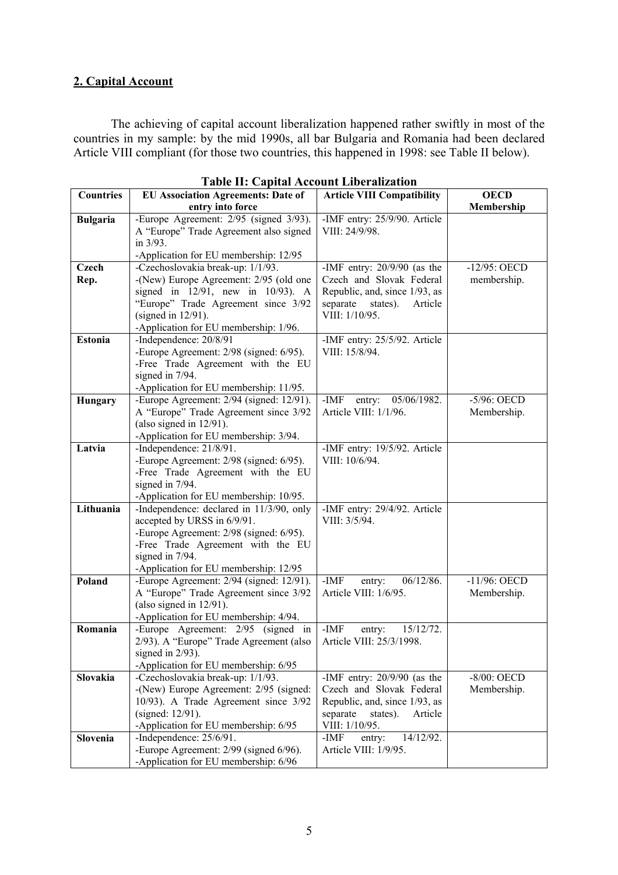# **2. Capital Account**

The achieving of capital account liberalization happened rather swiftly in most of the countries in my sample: by the mid 1990s, all bar Bulgaria and Romania had been declared Article VIII compliant (for those two countries, this happened in 1998: see Table II below).

|                  | Table II. Capital Account Enderandatio               |                                   |                 |
|------------------|------------------------------------------------------|-----------------------------------|-----------------|
| <b>Countries</b> | <b>EU Association Agreements: Date of</b>            | <b>Article VIII Compatibility</b> | <b>OECD</b>     |
|                  | entry into force                                     |                                   | Membership      |
| <b>Bulgaria</b>  | -Europe Agreement: 2/95 (signed 3/93).               | -IMF entry: 25/9/90. Article      |                 |
|                  | A "Europe" Trade Agreement also signed               | VIII: 24/9/98.                    |                 |
|                  | in 3/93.                                             |                                   |                 |
|                  | -Application for EU membership: 12/95                |                                   |                 |
| <b>Czech</b>     | -Czechoslovakia break-up: 1/1/93.                    | -IMF entry: $20/9/90$ (as the     | $-12/95$ : OECD |
| Rep.             | -(New) Europe Agreement: 2/95 (old one               | Czech and Slovak Federal          | membership.     |
|                  | signed in $12/91$ , new in $10/93$ ). A              | Republic, and, since 1/93, as     |                 |
|                  | "Europe" Trade Agreement since 3/92                  | separate<br>states).<br>Article   |                 |
|                  | (signed in $12/91$ ).                                | VIII: 1/10/95.                    |                 |
|                  | -Application for EU membership: 1/96.                |                                   |                 |
| <b>Estonia</b>   | -Independence: 20/8/91                               | -IMF entry: 25/5/92. Article      |                 |
|                  | -Europe Agreement: 2/98 (signed: 6/95).              | VIII: 15/8/94.                    |                 |
|                  | -Free Trade Agreement with the EU                    |                                   |                 |
|                  | signed in 7/94.                                      |                                   |                 |
|                  | -Application for EU membership: 11/95.               |                                   |                 |
| Hungary          | -Europe Agreement: 2/94 (signed: 12/91).             | $-IMF$<br>05/06/1982.<br>entry:   | -5/96: OECD     |
|                  | A "Europe" Trade Agreement since 3/92                | Article VIII: 1/1/96.             | Membership.     |
|                  | (also signed in $12/91$ ).                           |                                   |                 |
|                  | -Application for EU membership: 3/94.                |                                   |                 |
| Latvia           | -Independence: 21/8/91.                              | -IMF entry: 19/5/92. Article      |                 |
|                  | -Europe Agreement: 2/98 (signed: 6/95).              | VIII: 10/6/94.                    |                 |
|                  | -Free Trade Agreement with the EU                    |                                   |                 |
|                  | signed in 7/94.                                      |                                   |                 |
|                  | -Application for EU membership: 10/95.               |                                   |                 |
| Lithuania        | -Independence: declared in 11/3/90, only             | -IMF entry: 29/4/92. Article      |                 |
|                  | accepted by URSS in 6/9/91.                          | VIII: 3/5/94.                     |                 |
|                  | -Europe Agreement: 2/98 (signed: 6/95).              |                                   |                 |
|                  |                                                      |                                   |                 |
|                  | -Free Trade Agreement with the EU<br>signed in 7/94. |                                   |                 |
|                  |                                                      |                                   |                 |
| Poland           | -Application for EU membership: 12/95                |                                   |                 |
|                  | -Europe Agreement: 2/94 (signed: 12/91).             | $-IMF$<br>06/12/86.<br>entry:     | -11/96: OECD    |
|                  | A "Europe" Trade Agreement since 3/92                | Article VIII: 1/6/95.             | Membership.     |
|                  | (also signed in $12/91$ ).                           |                                   |                 |
|                  | -Application for EU membership: 4/94.                |                                   |                 |
| Romania          | -Europe Agreement: 2/95 (signed in                   | $-IMF$<br>15/12/72.<br>entry:     |                 |
|                  | 2/93). A "Europe" Trade Agreement (also              | Article VIII: 25/3/1998.          |                 |
|                  | signed in $2/93$ ).                                  |                                   |                 |
|                  | -Application for EU membership: 6/95                 |                                   |                 |
| Slovakia         | -Czechoslovakia break-up: 1/1/93.                    | -IMF entry: $20/9/90$ (as the     | $-8/00$ : OECD  |
|                  | -(New) Europe Agreement: 2/95 (signed:               | Czech and Slovak Federal          | Membership.     |
|                  | 10/93). A Trade Agreement since 3/92                 | Republic, and, since 1/93, as     |                 |
|                  | (signed: 12/91).                                     | separate<br>states).<br>Article   |                 |
|                  | -Application for EU membership: 6/95                 | VIII: 1/10/95.                    |                 |
| Slovenia         | -Independence: $25/6/91$ .                           | 14/12/92.<br>-IMF<br>entry:       |                 |
|                  | -Europe Agreement: 2/99 (signed 6/96).               | Article VIII: 1/9/95.             |                 |
|                  | -Application for EU membership: 6/96                 |                                   |                 |

|  |  |  | Table II: Capital Account Liberalization |
|--|--|--|------------------------------------------|
|--|--|--|------------------------------------------|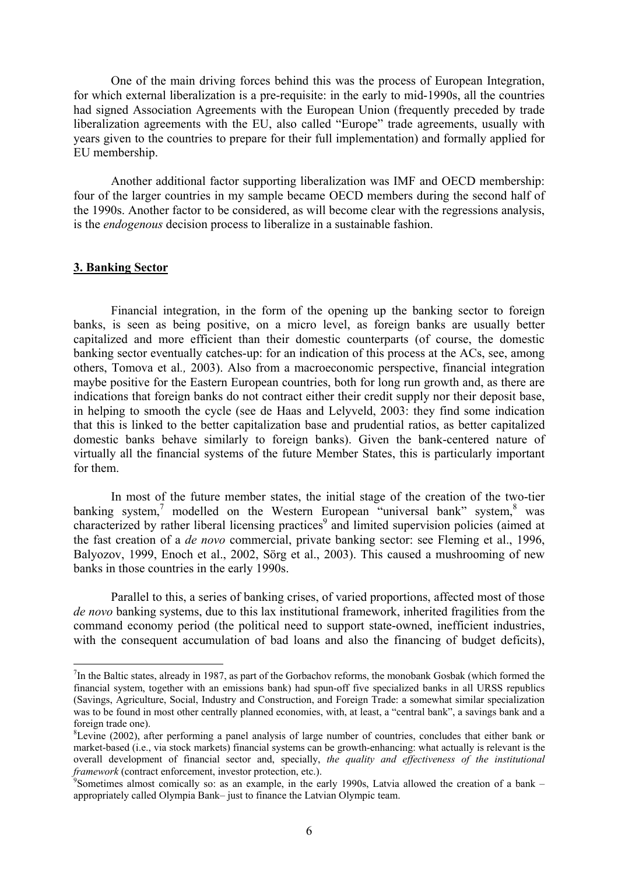One of the main driving forces behind this was the process of European Integration, for which external liberalization is a pre-requisite: in the early to mid-1990s, all the countries had signed Association Agreements with the European Union (frequently preceded by trade liberalization agreements with the EU, also called "Europe" trade agreements, usually with years given to the countries to prepare for their full implementation) and formally applied for EU membership.

Another additional factor supporting liberalization was IMF and OECD membership: four of the larger countries in my sample became OECD members during the second half of the 1990s. Another factor to be considered, as will become clear with the regressions analysis, is the *endogenous* decision process to liberalize in a sustainable fashion.

#### **3. Banking Sector**

1

 Financial integration, in the form of the opening up the banking sector to foreign banks, is seen as being positive, on a micro level, as foreign banks are usually better capitalized and more efficient than their domestic counterparts (of course, the domestic banking sector eventually catches-up: for an indication of this process at the ACs, see, among others, Tomova et al*.,* 2003). Also from a macroeconomic perspective, financial integration maybe positive for the Eastern European countries, both for long run growth and, as there are indications that foreign banks do not contract either their credit supply nor their deposit base, in helping to smooth the cycle (see de Haas and Lelyveld, 2003: they find some indication that this is linked to the better capitalization base and prudential ratios, as better capitalized domestic banks behave similarly to foreign banks). Given the bank-centered nature of virtually all the financial systems of the future Member States, this is particularly important for them.

In most of the future member states, the initial stage of the creation of the two-tier banking system,<sup>[7](#page-5-0)</sup>modelled on the Western European "universal bank" system,  $8$  was characterized by rather liberal licensing practices<sup>9</sup> and limited supervision policies (aimed at the fast creation of a *de novo* commercial, private banking sector: see Fleming et al., 1996, Balyozov, 1999, Enoch et al., 2002, Sörg et al., 2003). This caused a mushrooming of new banks in those countries in the early 1990s.

Parallel to this, a series of banking crises, of varied proportions, affected most of those *de novo* banking systems, due to this lax institutional framework, inherited fragilities from the command economy period (the political need to support state-owned, inefficient industries, with the consequent accumulation of bad loans and also the financing of budget deficits),

<span id="page-5-0"></span> $<sup>7</sup>$ In the Baltic states, already in 1987, as part of the Gorbachov reforms, the monobank Gosbak (which formed the</sup> financial system, together with an emissions bank) had spun-off five specialized banks in all URSS republics (Savings, Agriculture, Social, Industry and Construction, and Foreign Trade: a somewhat similar specialization was to be found in most other centrally planned economies, with, at least, a "central bank", a savings bank and a foreign trade one).

<span id="page-5-1"></span> ${}^8$ Levine (2002), after performing a panel analysis of large number of countries, concludes that either bank or market-based (i.e., via stock markets) financial systems can be growth-enhancing: what actually is relevant is the overall development of financial sector and, specially, *the quality and effectiveness of the institutional framework* (contract enforcement, investor protection, etc.).

<span id="page-5-2"></span>Sometimes almost comically so: as an example, in the early 1990s, Latvia allowed the creation of a bank – appropriately called Olympia Bank– just to finance the Latvian Olympic team.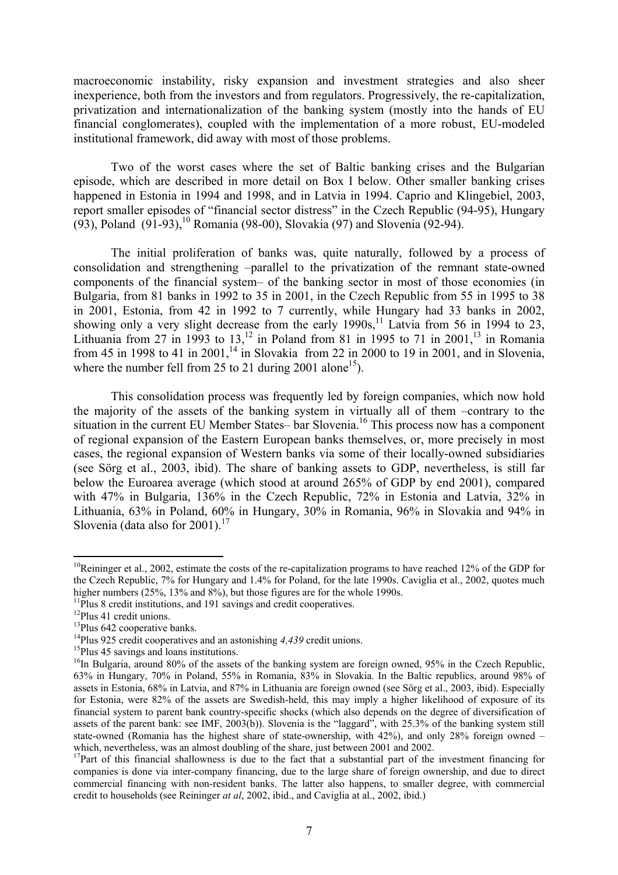macroeconomic instability, risky expansion and investment strategies and also sheer inexperience, both from the investors and from regulators. Progressively, the re-capitalization, privatization and internationalization of the banking system (mostly into the hands of EU financial conglomerates), coupled with the implementation of a more robust, EU-modeled institutional framework, did away with most of those problems.

Two of the worst cases where the set of Baltic banking crises and the Bulgarian episode, which are described in more detail on Box I below. Other smaller banking crises happened in Estonia in 1994 and 1998, and in Latvia in 1994. Caprio and Klingebiel, 2003, report smaller episodes of "financial sector distress" in the Czech Republic (94-95), Hungary (93), Poland  $(91-93)$ , <sup>10</sup> Romania (98-00), Slovakia (97) and Slovenia (92-94).

The initial proliferation of banks was, quite naturally, followed by a process of consolidation and strengthening –parallel to the privatization of the remnant state-owned components of the financial system– of the banking sector in most of those economies (in Bulgaria, from 81 banks in 1992 to 35 in 2001, in the Czech Republic from 55 in 1995 to 38 in 2001, Estonia, from 42 in 1992 to 7 currently, while Hungary had 33 banks in 2002, showing only a very slight decrease from the early  $1990s$ ,<sup>11</sup> Latvia from 56 in 1994 to 23, Lithuania from 27 in 1993 to  $13$ ,<sup>12</sup> in Poland from 81 in 1995 to 71 in 2001,<sup>13</sup> in Romania from 45 in 1998 to 41 in 2001,<sup>14</sup> in Slovakia from 22 in 2000 to 19 in 2001, and in Slovenia, where the number fell from 25 to 21 during 2001 alone<sup>15</sup>).

This consolidation process was frequently led by foreign companies, which now hold the majority of the assets of the banking system in virtually all of them –contrary to the situation in the current EU Member States– bar Slovenia.<sup>16</sup> This process now has a component of regional expansion of the Eastern European banks themselves, or, more precisely in most cases, the regional expansion of Western banks via some of their locally-owned subsidiaries (see Sörg et al., 2003, ibid). The share of banking assets to GDP, nevertheless, is still far below the Euroarea average (which stood at around 265% of GDP by end 2001), compared with 47% in Bulgaria, 136% in the Czech Republic, 72% in Estonia and Latvia, 32% in Lithuania, 63% in Poland, 60% in Hungary, 30% in Romania, 96% in Slovakia and 94% in Slovenia (data also for  $2001$ ).<sup>17</sup>

<u>.</u>

<span id="page-6-0"></span> $10R$ eininger et al., 2002, estimate the costs of the re-capitalization programs to have reached 12% of the GDP for the Czech Republic, 7% for Hungary and 1.4% for Poland, for the late 1990s. Caviglia et al., 2002, quotes much higher numbers (25%, 13% and 8%), but those figures are for the whole 1990s.<br><sup>11</sup>Plus 8 credit institutions, and 191 savings and credit cooperatives.<br><sup>12</sup>Plus 41 credit unions.<br><sup>13</sup>Plus 642 cooperative banks.<br><sup>14</sup>Plus 925

<span id="page-6-1"></span>

<span id="page-6-2"></span>

<span id="page-6-3"></span>

<span id="page-6-4"></span>

<span id="page-6-5"></span>

<span id="page-6-6"></span><sup>63%</sup> in Hungary, 70% in Poland, 55% in Romania, 83% in Slovakia. In the Baltic republics, around 98% of assets in Estonia, 68% in Latvia, and 87% in Lithuania are foreign owned (see Sörg et al., 2003, ibid). Especially for Estonia, were 82% of the assets are Swedish-held, this may imply a higher likelihood of exposure of its financial system to parent bank country-specific shocks (which also depends on the degree of diversification of assets of the parent bank: see IMF, 2003(b)). Slovenia is the "laggard", with 25.3% of the banking system still state-owned (Romania has the highest share of state-ownership, with 42%), and only 28% foreign owned – which, nevertheless, was an almost doubling of the share, just between 2001 and 2002.

<span id="page-6-7"></span> $17$ Part of this financial shallowness is due to the fact that a substantial part of the investment financing for companies is done via inter-company financing, due to the large share of foreign ownership, and due to direct commercial financing with non-resident banks. The latter also happens, to smaller degree, with commercial credit to households (see Reininger *at al*, 2002, ibid., and Caviglia at al., 2002, ibid.)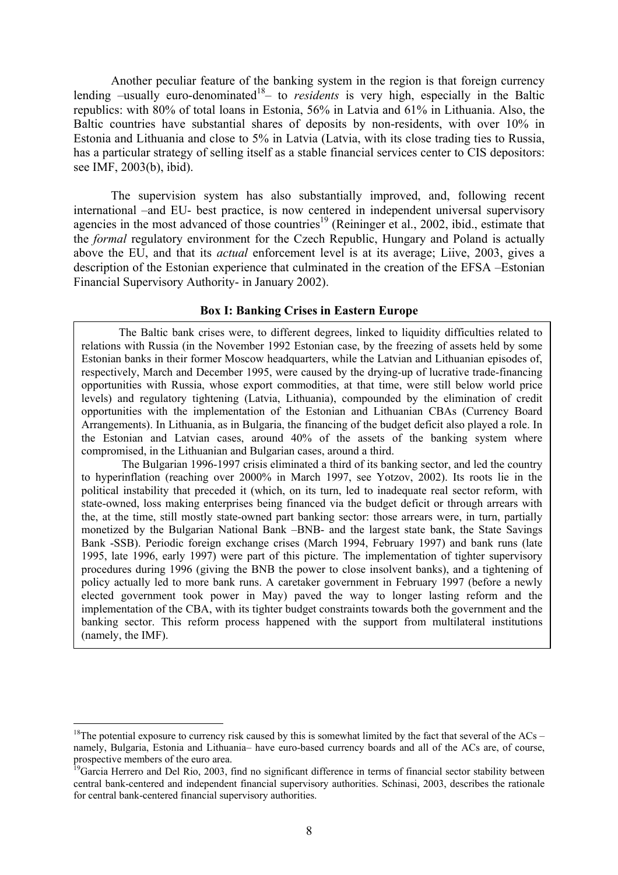Another peculiar feature of the banking system in the region is that foreign currency lending  $-\text{usually}$  euro-denominated<sup>18</sup>– to *residents* is very high, especially in the Baltic republics: with 80% of total loans in Estonia, 56% in Latvia and 61% in Lithuania. Also, the Baltic countries have substantial shares of deposits by non-residents, with over 10% in Estonia and Lithuania and close to 5% in Latvia (Latvia, with its close trading ties to Russia, has a particular strategy of selling itself as a stable financial services center to CIS depositors: see IMF, 2003(b), ibid).

The supervision system has also substantially improved, and, following recent international –and EU- best practice, is now centered in independent universal supervisory agencies in the most advanced of those countries<sup>19</sup> (Reininger et al., 2002, ibid., estimate that the *formal* regulatory environment for the Czech Republic, Hungary and Poland is actually above the EU, and that its *actual* enforcement level is at its average; Liive, 2003, gives a description of the Estonian experience that culminated in the creation of the EFSA –Estonian Financial Supervisory Authority- in January 2002).

#### **Box I: Banking Crises in Eastern Europe**

 The Baltic bank crises were, to different degrees, linked to liquidity difficulties related to relations with Russia (in the November 1992 Estonian case, by the freezing of assets held by some Estonian banks in their former Moscow headquarters, while the Latvian and Lithuanian episodes of, respectively, March and December 1995, were caused by the drying-up of lucrative trade-financing opportunities with Russia, whose export commodities, at that time, were still below world price levels) and regulatory tightening (Latvia, Lithuania), compounded by the elimination of credit opportunities with the implementation of the Estonian and Lithuanian CBAs (Currency Board Arrangements). In Lithuania, as in Bulgaria, the financing of the budget deficit also played a role. In the Estonian and Latvian cases, around 40% of the assets of the banking system where compromised, in the Lithuanian and Bulgarian cases, around a third.

The Bulgarian 1996-1997 crisis eliminated a third of its banking sector, and led the country to hyperinflation (reaching over 2000% in March 1997, see Yotzov, 2002). Its roots lie in the political instability that preceded it (which, on its turn, led to inadequate real sector reform, with state-owned, loss making enterprises being financed via the budget deficit or through arrears with the, at the time, still mostly state-owned part banking sector: those arrears were, in turn, partially monetized by the Bulgarian National Bank –BNB- and the largest state bank, the State Savings Bank -SSB). Periodic foreign exchange crises (March 1994, February 1997) and bank runs (late 1995, late 1996, early 1997) were part of this picture. The implementation of tighter supervisory procedures during 1996 (giving the BNB the power to close insolvent banks), and a tightening of policy actually led to more bank runs. A caretaker government in February 1997 (before a newly elected government took power in May) paved the way to longer lasting reform and the implementation of the CBA, with its tighter budget constraints towards both the government and the banking sector. This reform process happened with the support from multilateral institutions (namely, the IMF).

<span id="page-7-0"></span> $18$ The potential exposure to currency risk caused by this is somewhat limited by the fact that several of the ACs – namely, Bulgaria, Estonia and Lithuania– have euro-based currency boards and all of the ACs are, of course, prospective members of the euro area.

<span id="page-7-1"></span><sup>&</sup>lt;sup>19</sup>Garcia Herrero and Del Rio, 2003, find no significant difference in terms of financial sector stability between central bank-centered and independent financial supervisory authorities. Schinasi, 2003, describes the rationale for central bank-centered financial supervisory authorities.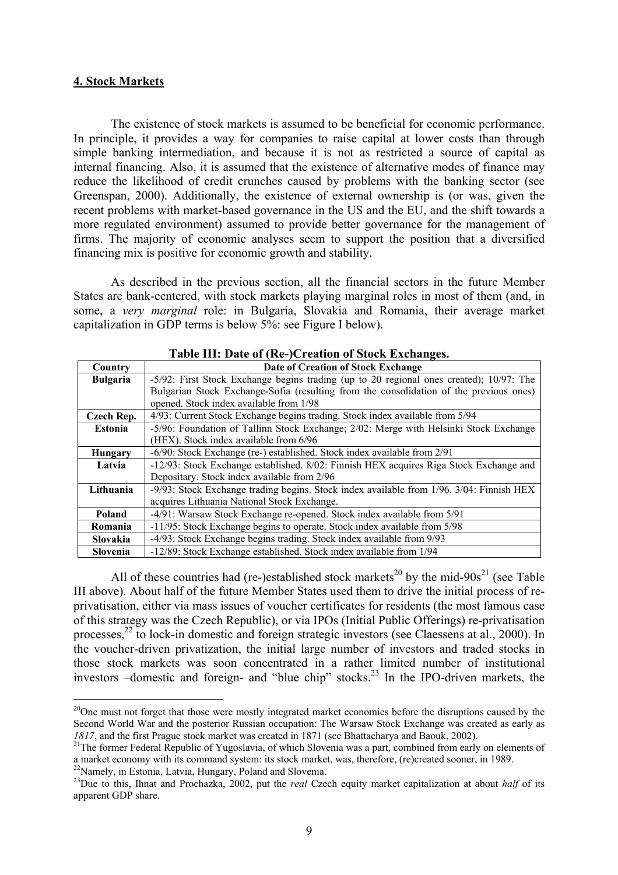#### **4. Stock Markets**

The existence of stock markets is assumed to be beneficial for economic performance. In principle, it provides a way for companies to raise capital at lower costs than through simple banking intermediation, and because it is not as restricted a source of capital as internal financing. Also, it is assumed that the existence of alternative modes of finance may reduce the likelihood of credit crunches caused by problems with the banking sector (see Greenspan, 2000). Additionally, the existence of external ownership is (or was, given the recent problems with market-based governance in the US and the EU, and the shift towards a more regulated environment) assumed to provide better governance for the management of firms. The majority of economic analyses seem to support the position that a diversified financing mix is positive for economic growth and stability.

As described in the previous section, all the financial sectors in the future Member States are bank-centered, with stock markets playing marginal roles in most of them (and, in some, a *very marginal* role: in Bulgaria, Slovakia and Romania, their average market capitalization in GDP terms is below 5%: see Figure I below).

|                 | Table III. Date of twe-jet eation of Stock Exenanges.                                    |
|-----------------|------------------------------------------------------------------------------------------|
| Country         | Date of Creation of Stock Exchange                                                       |
| <b>Bulgaria</b> | -5/92: First Stock Exchange begins trading (up to 20 regional ones created); 10/97: The  |
|                 | Bulgarian Stock Exchange-Sofia (resulting from the consolidation of the previous ones)   |
|                 | opened. Stock index available from 1/98                                                  |
| Czech Rep.      | 4/93: Current Stock Exchange begins trading. Stock index available from 5/94             |
| <b>Estonia</b>  | -5/96: Foundation of Tallinn Stock Exchange; 2/02: Merge with Helsinki Stock Exchange    |
|                 | (HEX). Stock index available from 6/96                                                   |
| <b>Hungary</b>  | -6/90: Stock Exchange (re-) established. Stock index available from 2/91                 |
| Latvia          | -12/93: Stock Exchange established. 8/02: Finnish HEX acquires Riga Stock Exchange and   |
|                 | Depositary. Stock index available from 2/96                                              |
| Lithuania       | -9/93: Stock Exchange trading begins. Stock index available from 1/96. 3/04: Finnish HEX |
|                 | acquires Lithuania National Stock Exchange.                                              |
| Poland          | -4/91: Warsaw Stock Exchange re-opened. Stock index available from 5/91                  |
| Romania         | -11/95: Stock Exchange begins to operate. Stock index available from 5/98                |
| <b>Slovakia</b> | -4/93: Stock Exchange begins trading. Stock index available from 9/93                    |
| Slovenia        | -12/89: Stock Exchange established. Stock index available from 1/94                      |

### **Table III: Date of (Re-)Creation of Stock Exchanges.**

All of these countries had (re-)established stock markets<sup>20</sup> by the mid-90s<sup>21</sup> (see Table III above). About half of the future Member States used them to drive the initial process of reprivatisation, either via mass issues of voucher certificates for residents (the most famous case of this strategy was the Czech Republic), or via IPOs (Initial Public Offerings) re-privatisation processes,  $^{22}$  to lock-in domestic and foreign strategic investors (see Claessens at al., 2000). In the voucher-driven privatization, the initial large number of investors and traded stocks in those stock markets was soon concentrated in a rather limited number of institutional investors  $-d$ omestic and foreign- and "blue chip" stocks.<sup>23</sup> In the IPO-driven markets, the

<span id="page-8-3"></span><span id="page-8-2"></span>

<span id="page-8-0"></span><sup>&</sup>lt;sup>20</sup>One must not forget that those were mostly integrated market economies before the disruptions caused by the Second World War and the posterior Russian occupation: The Warsaw Stock Exchange was created as early as

<span id="page-8-1"></span>*<sup>1817</sup>*, and the first Prague stock market was created in 1871 (see Bhattacharya and Baouk, 2002).<br><sup>21</sup>The former Federal Republic of Yugoslavia, of which Slovenia was a part, combined from early on elements of a market eco

<sup>&</sup>lt;sup>22</sup>Namely, in Estonia, Latvia, Hungary, Poland and Slovenia.<br><sup>23</sup>Due to this, Ihnat and Prochazka, 2002, put the *real* Czech equity market capitalization at about *half* of its apparent GDP share.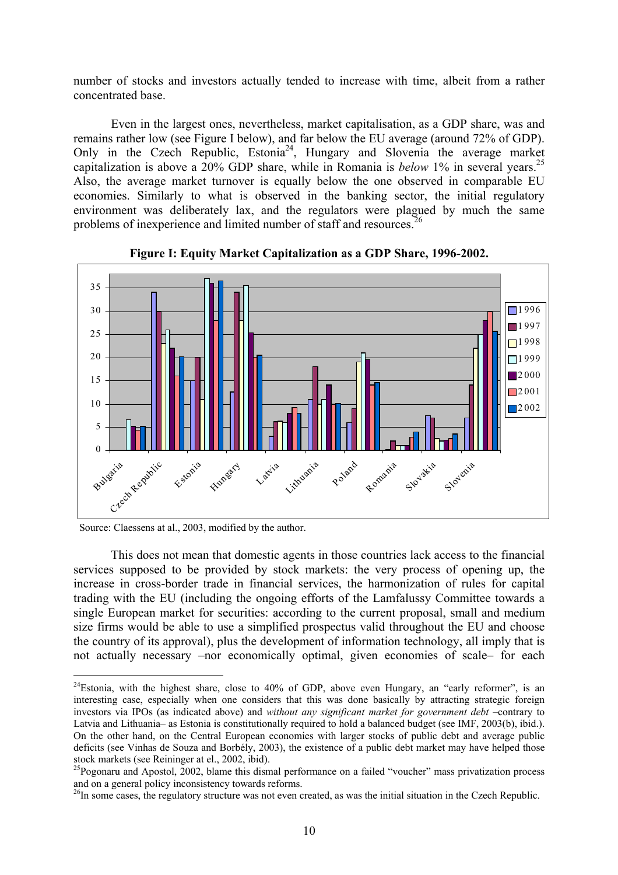number of stocks and investors actually tended to increase with time, albeit from a rather concentrated base.

Even in the largest ones, nevertheless, market capitalisation, as a GDP share, was and remains rather low (see Figure I below), and far below the EU average (around 72% of GDP). Only in the Czech Republic, Estonia<sup>24</sup>, Hungary and Slovenia the average market capitalization is above a 20% GDP share, while in Romania is *below* 1% in several years.<sup>25</sup> Also, the average market turnover is equally below the one observed in comparable EU economies. Similarly to what is observed in the banking sector, the initial regulatory environment was deliberately lax, and the regulators were plagued by much the same problems of inexperience and limited number of staff and resources[.26](#page-9-2)





Source: Claessens at al., 2003, modified by the author.

1

This does not mean that domestic agents in those countries lack access to the financial services supposed to be provided by stock markets: the very process of opening up, the increase in cross-border trade in financial services, the harmonization of rules for capital trading with the EU (including the ongoing efforts of the Lamfalussy Committee towards a single European market for securities: according to the current proposal, small and medium size firms would be able to use a simplified prospectus valid throughout the EU and choose the country of its approval), plus the development of information technology, all imply that is not actually necessary –nor economically optimal, given economies of scale– for each

<span id="page-9-0"></span> $^{24}$ Estonia, with the highest share, close to 40% of GDP, above even Hungary, an "early reformer", is an interesting case, especially when one considers that this was done basically by attracting strategic foreign investors via IPOs (as indicated above) and *without any significant market for government debt* –contrary to Latvia and Lithuania– as Estonia is constitutionally required to hold a balanced budget (see IMF, 2003(b), ibid.). On the other hand, on the Central European economies with larger stocks of public debt and average public deficits (see Vinhas de Souza and Borbély, 2003), the existence of a public debt market may have helped those stock markets (see Reininger at el., 2002, ibid).<br><sup>25</sup>Pogonaru and Apostol, 2002, blame this dismal performance on a failed "voucher" mass privatization process

<span id="page-9-1"></span>and on a general policy inconsistency towards reforms.<br><sup>26</sup>In some cases, the regulatory structure was not even created, as was the initial situation in the Czech Republic.

<span id="page-9-2"></span>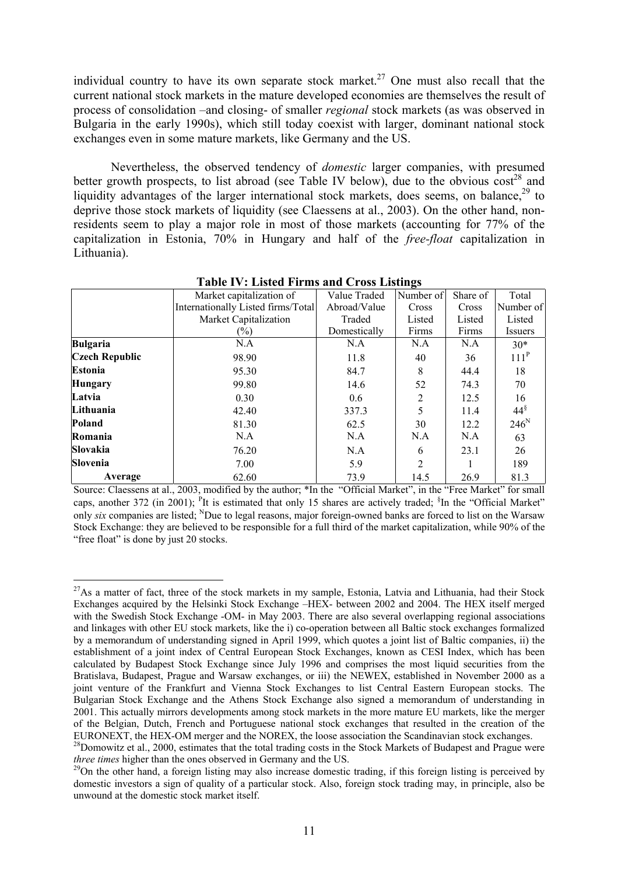individual country to have its own separate stock market.<sup>27</sup> One must also recall that the current national stock markets in the mature developed economies are themselves the result of process of consolidation –and closing- of smaller *regional* stock markets (as was observed in Bulgaria in the early 1990s), which still today coexist with larger, dominant national stock exchanges even in some mature markets, like Germany and the US.

Nevertheless, the observed tendency of *domestic* larger companies, with presumed better growth prospects, to list abroad (see Table IV below), due to the obvious  $cost^{28}$  and liquidity advantages of the larger international stock markets, does seems, on balance.<sup>29</sup> to deprive those stock markets of liquidity (see Claessens at al., 2003). On the other hand, nonresidents seem to play a major role in most of those markets (accounting for 77% of the capitalization in Estonia, 70% in Hungary and half of the *free-float* capitalization in Lithuania).

|                       | Market capitalization of           | Value Traded | Number of | Share of | Total            |
|-----------------------|------------------------------------|--------------|-----------|----------|------------------|
|                       | Internationally Listed firms/Total | Abroad/Value | Cross     | Cross    | Number of        |
|                       | Market Capitalization              |              | Listed    | Listed   | Listed           |
|                       | $(\%)$                             | Domestically | Firms     | Firms    | Issuers          |
| <b>Bulgaria</b>       | N.A                                | N.A          | N.A       | N.A      | $30*$            |
| <b>Czech Republic</b> | 98.90                              | 11.8         | 40        | 36       | 111 <sup>P</sup> |
| Estonia               | 95.30                              | 84.7         | 8         | 44.4     | 18               |
| <b>Hungary</b>        | 99.80                              | 14.6         | 52        | 74.3     | 70               |
| Latvia                | 0.30                               | 0.6          | 2         | 12.5     | 16               |
| Lithuania             | 42.40                              | 337.3        |           | 11.4     | $44^{\S}$        |
| Poland                | 81.30                              | 62.5         | 30        | 12.2     | $246^N$          |
| Romania               | N.A                                | N.A          | N.A       | N.A      | 63               |
| Slovakia              | 76.20                              | N.A          | 6         | 23.1     | 26               |
| Slovenia              | 7.00                               | 5.9          | 2         |          | 189              |
| Average               | 62.60                              | 73.9         | 14.5      | 26.9     | 81.3             |

**Table IV: Listed Firms and Cross Listings** 

Source: Claessens at al., 2003, modified by the author; \*In the "Official Market", in the "Free Market" for small caps, another 372 (in 2001); <sup>P</sup>It is estimated that only 15 shares are actively traded; <sup>§</sup>In the "Official Market" only *six* companies are listed; <sup>N</sup>Due to legal reasons, major foreign-owned banks are forced to list on the Warsaw Stock Exchange: they are believed to be responsible for a full third of the market capitalization, while 90% of the "free float" is done by just 20 stocks.

<span id="page-10-0"></span><sup>1</sup> <sup>27</sup>As a matter of fact, three of the stock markets in my sample, Estonia, Latvia and Lithuania, had their Stock Exchanges acquired by the Helsinki Stock Exchange –HEX- between 2002 and 2004. The HEX itself merged with the Swedish Stock Exchange -OM- in May 2003. There are also several overlapping regional associations and linkages with other EU stock markets, like the i) co-operation between all Baltic stock exchanges formalized by a memorandum of understanding signed in April 1999, which quotes a joint list of Baltic companies, ii) the establishment of a joint index of Central European Stock Exchanges, known as CESI Index, which has been calculated by Budapest Stock Exchange since July 1996 and comprises the most liquid securities from the Bratislava, Budapest, Prague and Warsaw exchanges, or iii) the NEWEX, established in November 2000 as a joint venture of the Frankfurt and Vienna Stock Exchanges to list Central Eastern European stocks. The Bulgarian Stock Exchange and the Athens Stock Exchange also signed a memorandum of understanding in 2001. This actually mirrors developments among stock markets in the more mature EU markets, like the merger of the Belgian, Dutch, French and Portuguese national stock exchanges that resulted in the creation of the

<span id="page-10-1"></span>EURONEXT, the HEX-OM merger and the NOREX, the loose association the Scandinavian stock exchanges. <sup>28</sup>Domowitz et al., 2000, estimates that the total trading costs in the Stock Markets of Budapest and Prague were *three* 

<span id="page-10-2"></span><sup>&</sup>lt;sup>29</sup>On the other hand, a foreign listing may also increase domestic trading, if this foreign listing is perceived by domestic investors a sign of quality of a particular stock. Also, foreign stock trading may, in principle, also be unwound at the domestic stock market itself.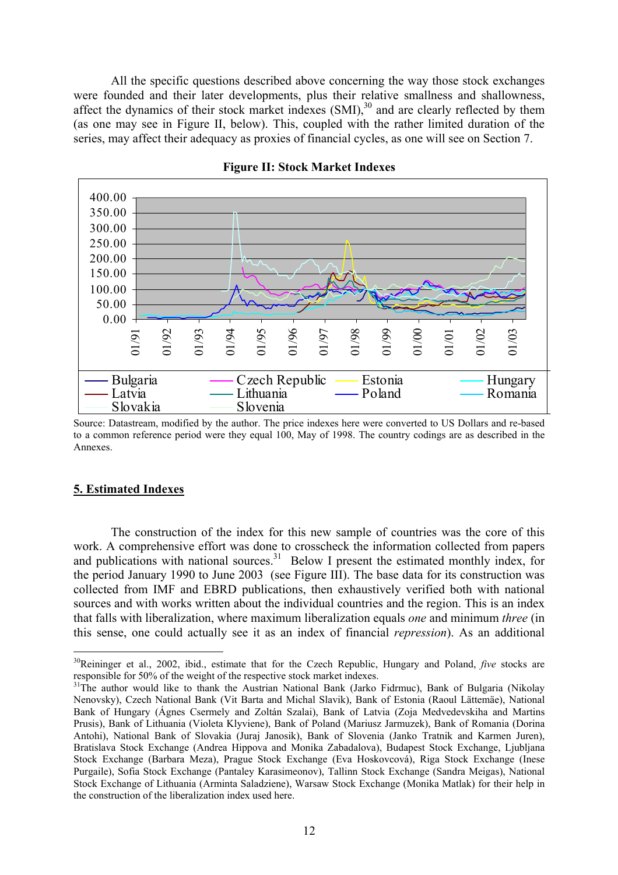All the specific questions described above concerning the way those stock exchanges were founded and their later developments, plus their relative smallness and shallowness, affect the dynamics of their stock market indexes  $(SMI)$ ,  $^{30}$  and are clearly reflected by them (as one may see in Figure II, below). This, coupled with the rather limited duration of the series, may affect their adequacy as proxies of financial cycles, as one will see on Section 7.



**Figure II: Stock Market Indexes** 

Source: Datastream, modified by the author. The price indexes here were converted to US Dollars and re-based to a common reference period were they equal 100, May of 1998. The country codings are as described in the Annexes.

#### **5. Estimated Indexes**

1

The construction of the index for this new sample of countries was the core of this work. A comprehensive effort was done to crosscheck the information collected from papers and publications with national sources.<sup>31</sup> Below I present the estimated monthly index, for the period January 1990 to June 2003 (see Figure III). The base data for its construction was collected from IMF and EBRD publications, then exhaustively verified both with national sources and with works written about the individual countries and the region. This is an index that falls with liberalization, where maximum liberalization equals *one* and minimum *three* (in this sense, one could actually see it as an index of financial *repression*). As an additional

<span id="page-11-0"></span><sup>&</sup>lt;sup>30</sup>Reininger et al., 2002, ibid., estimate that for the Czech Republic, Hungary and Poland, *five* stocks are responsible for 50% of the weight of the respective stock market indexes.

<span id="page-11-1"></span><sup>&</sup>lt;sup>31</sup>The author would like to thank the Austrian National Bank (Jarko Fidrmuc), Bank of Bulgaria (Nikolay Nenovsky), Czech National Bank (Vit Barta and Michal Slavik), Bank of Estonia (Raoul Lättemäe), National Bank of Hungary (Ágnes Csermely and Zoltán Szalai), Bank of Latvia (Zoja Medvedevskiha and Martins Prusis), Bank of Lithuania (Violeta Klyviene), Bank of Poland (Mariusz Jarmuzek), Bank of Romania (Dorina Antohi), National Bank of Slovakia (Juraj Janosik), Bank of Slovenia (Janko Tratnik and Karmen Juren), Bratislava Stock Exchange (Andrea Hippova and Monika Zabadalova), Budapest Stock Exchange, Ljubljana Stock Exchange (Barbara Meza), Prague Stock Exchange (Eva Hoskovcová), Riga Stock Exchange (Inese Purgaile), Sofia Stock Exchange (Pantaley Karasimeonov), Tallinn Stock Exchange (Sandra Meigas), National Stock Exchange of Lithuania (Arminta Saladziene), Warsaw Stock Exchange (Monika Matlak) for their help in the construction of the liberalization index used here.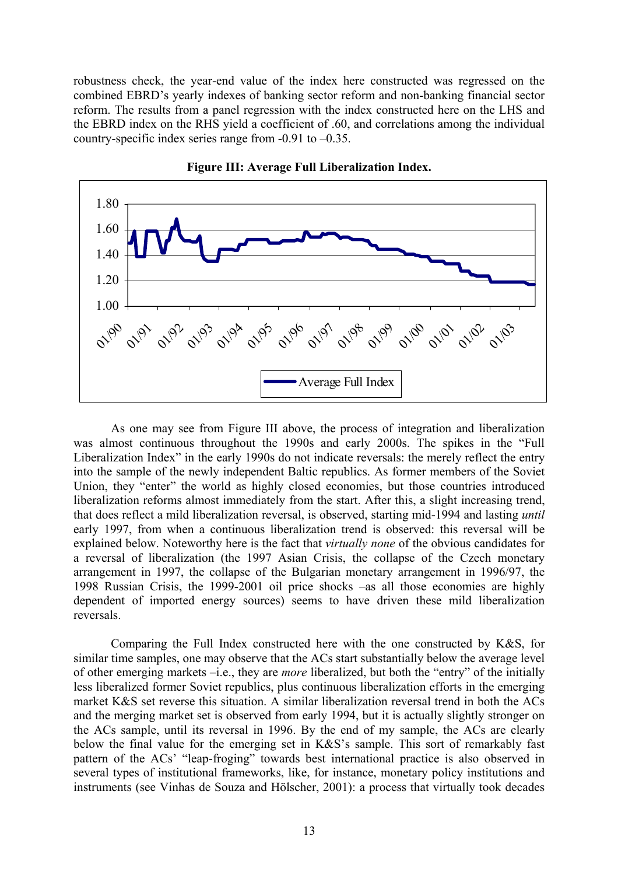robustness check, the year-end value of the index here constructed was regressed on the combined EBRD's yearly indexes of banking sector reform and non-banking financial sector reform. The results from a panel regression with the index constructed here on the LHS and the EBRD index on the RHS yield a coefficient of .60, and correlations among the individual country-specific index series range from -0.91 to –0.35.



**Figure III: Average Full Liberalization Index.**

As one may see from Figure III above, the process of integration and liberalization was almost continuous throughout the 1990s and early 2000s. The spikes in the "Full Liberalization Index" in the early 1990s do not indicate reversals: the merely reflect the entry into the sample of the newly independent Baltic republics. As former members of the Soviet Union, they "enter" the world as highly closed economies, but those countries introduced liberalization reforms almost immediately from the start. After this, a slight increasing trend, that does reflect a mild liberalization reversal, is observed, starting mid-1994 and lasting *until* early 1997, from when a continuous liberalization trend is observed: this reversal will be explained below. Noteworthy here is the fact that *virtually none* of the obvious candidates for a reversal of liberalization (the 1997 Asian Crisis, the collapse of the Czech monetary arrangement in 1997, the collapse of the Bulgarian monetary arrangement in 1996/97, the 1998 Russian Crisis, the 1999-2001 oil price shocks –as all those economies are highly dependent of imported energy sources) seems to have driven these mild liberalization reversals.

Comparing the Full Index constructed here with the one constructed by K&S, for similar time samples, one may observe that the ACs start substantially below the average level of other emerging markets –i.e., they are *more* liberalized, but both the "entry" of the initially less liberalized former Soviet republics, plus continuous liberalization efforts in the emerging market K&S set reverse this situation. A similar liberalization reversal trend in both the ACs and the merging market set is observed from early 1994, but it is actually slightly stronger on the ACs sample, until its reversal in 1996. By the end of my sample, the ACs are clearly below the final value for the emerging set in K&S's sample. This sort of remarkably fast pattern of the ACs' "leap-froging" towards best international practice is also observed in several types of institutional frameworks, like, for instance, monetary policy institutions and instruments (see Vinhas de Souza and Hölscher, 2001): a process that virtually took decades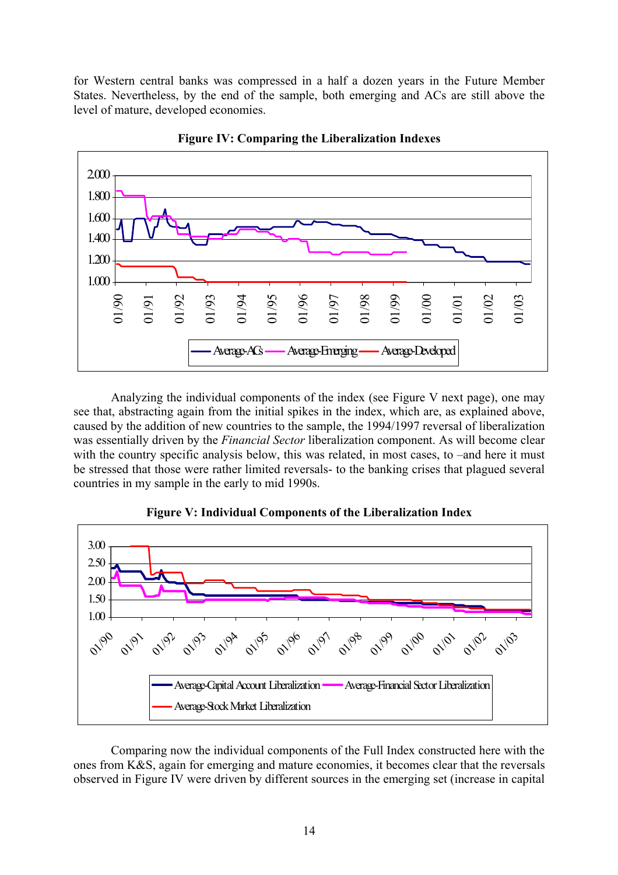for Western central banks was compressed in a half a dozen years in the Future Member States. Nevertheless, by the end of the sample, both emerging and ACs are still above the level of mature, developed economies.



**Figure IV: Comparing the Liberalization Indexes** 

Analyzing the individual components of the index (see Figure V next page), one may see that, abstracting again from the initial spikes in the index, which are, as explained above, caused by the addition of new countries to the sample, the 1994/1997 reversal of liberalization was essentially driven by the *Financial Sector* liberalization component. As will become clear with the country specific analysis below, this was related, in most cases, to –and here it must be stressed that those were rather limited reversals- to the banking crises that plagued several countries in my sample in the early to mid 1990s.



**Figure V: Individual Components of the Liberalization Index** 

Comparing now the individual components of the Full Index constructed here with the ones from K&S, again for emerging and mature economies, it becomes clear that the reversals observed in Figure IV were driven by different sources in the emerging set (increase in capital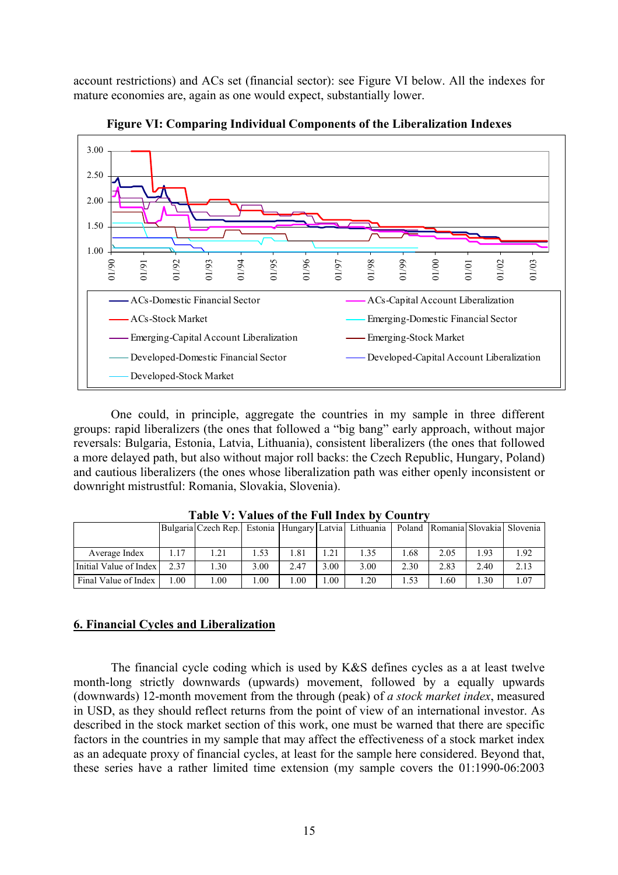account restrictions) and ACs set (financial sector): see Figure VI below. All the indexes for mature economies are, again as one would expect, substantially lower.



**Figure VI: Comparing Individual Components of the Liberalization Indexes** 

One could, in principle, aggregate the countries in my sample in three different groups: rapid liberalizers (the ones that followed a "big bang" early approach, without major reversals: Bulgaria, Estonia, Latvia, Lithuania), consistent liberalizers (the ones that followed a more delayed path, but also without major roll backs: the Czech Republic, Hungary, Poland) and cautious liberalizers (the ones whose liberalization path was either openly inconsistent or downright mistrustful: Romania, Slovakia, Slovenia).

|                        |      | Bulgaria Czech Rep. Estonia Hungary Latvia Lithuania |      |      |      |      |      |      |      | Poland Romania Slovakia Slovenia |
|------------------------|------|------------------------------------------------------|------|------|------|------|------|------|------|----------------------------------|
|                        |      |                                                      |      |      |      |      |      |      |      |                                  |
| Average Index          | 1.17 | 1.21                                                 | . 53 | .81  | . 21 | 1.35 | .68  | 2.05 | .93  | .92                              |
| Initial Value of Index | 2.37 | .30                                                  | 3.00 | 2.47 | 3.00 | 3.00 | 2.30 | 2.83 | 2.40 | 2.13                             |
| Final Value of Index   | .00  | $00$ .                                               | .00. | .00  | .00  | 1.20 | .53  | .60  | .30  | .07                              |

**Table V: Values of the Full Index by Country** 

#### **6. Financial Cycles and Liberalization**

The financial cycle coding which is used by K&S defines cycles as a at least twelve month-long strictly downwards (upwards) movement, followed by a equally upwards (downwards) 12-month movement from the through (peak) of *a stock market index*, measured in USD, as they should reflect returns from the point of view of an international investor. As described in the stock market section of this work, one must be warned that there are specific factors in the countries in my sample that may affect the effectiveness of a stock market index as an adequate proxy of financial cycles, at least for the sample here considered. Beyond that, these series have a rather limited time extension (my sample covers the 01:1990-06:2003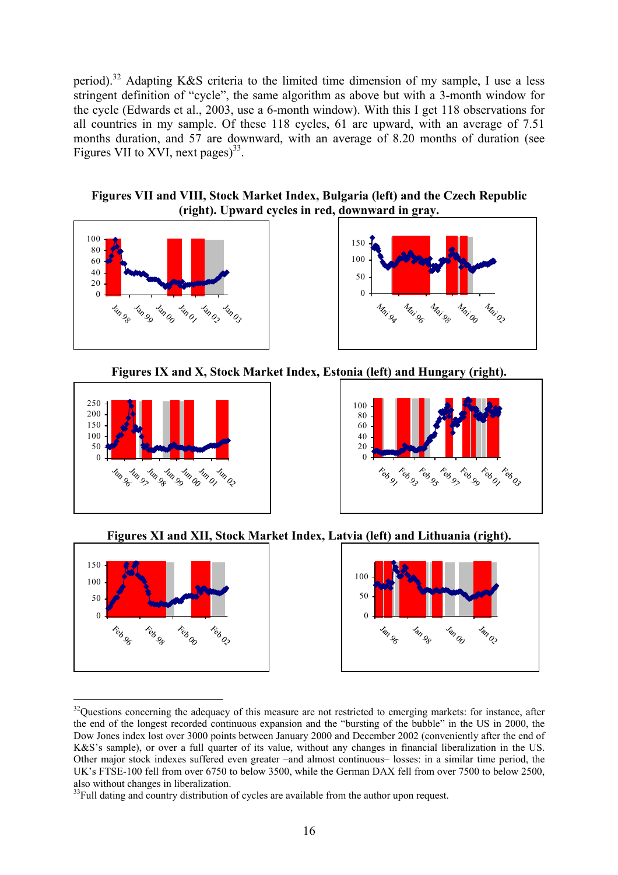period)[.32](#page-15-0) Adapting K&S criteria to the limited time dimension of my sample, I use a less stringent definition of "cycle", the same algorithm as above but with a 3-month window for the cycle (Edwards et al., 2003, use a 6-month window). With this I get 118 observations for all countries in my sample. Of these 118 cycles, 61 are upward, with an average of 7.51 months duration, and 57 are downward, with an average of 8.20 months of duration (see Figures VII to XVI, next pages)<sup>33</sup>.

**Figures VII and VIII, Stock Market Index, Bulgaria (left) and the Czech Republic (right). Upward cycles in red, downward in gray.** 





**Figures IX and X, Stock Market Index, Estonia (left) and Hungary (right).** 





**Figures XI and XII, Stock Market Index, Latvia (left) and Lithuania (right).** 

 $\parallel$ 

 $\parallel$ 





<span id="page-15-0"></span><sup>&</sup>lt;sup>32</sup>Ouestions concerning the adequacy of this measure are not restricted to emerging markets: for instance, after the end of the longest recorded continuous expansion and the "bursting of the bubble" in the US in 2000, the Dow Jones index lost over 3000 points between January 2000 and December 2002 (conveniently after the end of K&S's sample), or over a full quarter of its value, without any changes in financial liberalization in the US. Other major stock indexes suffered even greater –and almost continuous– losses: in a similar time period, the UK's FTSE-100 fell from over 6750 to below 3500, while the German DAX fell from over 7500 to below 2500,

<span id="page-15-1"></span>also without changes in liberalization.<br><sup>33</sup>Full dating and country distribution of cycles are available from the author upon request.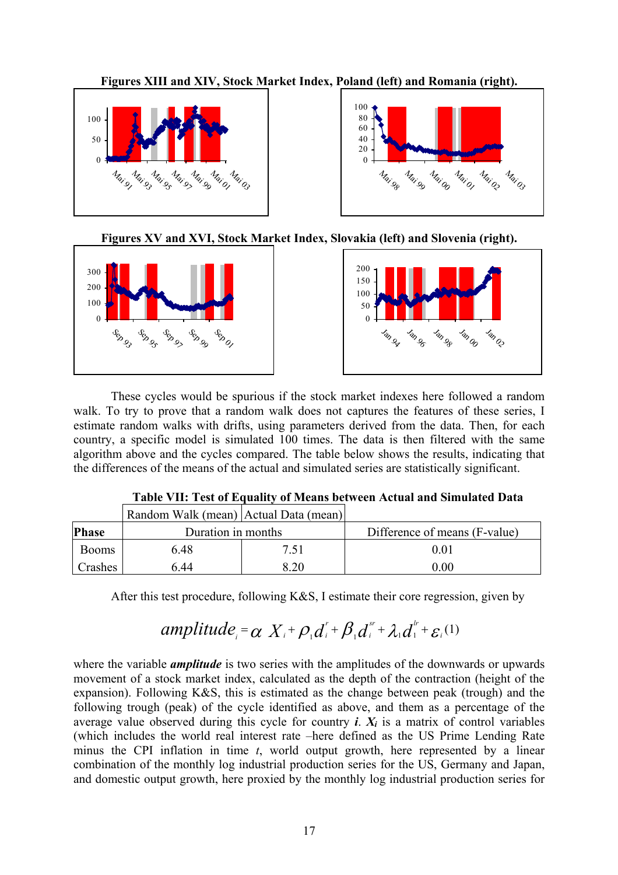**Figures XIII and XIV, Stock Market Index, Poland (left) and Romania (right).** 







i<br>I

 $\parallel$ 





These cycles would be spurious if the stock market indexes here followed a random walk. To try to prove that a random walk does not captures the features of these series, I estimate random walks with drifts, using parameters derived from the data. Then, for each country, a specific model is simulated 100 times. The data is then filtered with the same algorithm above and the cycles compared. The table below shows the results, indicating that the differences of the means of the actual and simulated series are statistically significant.

|              | Random Walk (mean) Actual Data (mean) |      |                               |
|--------------|---------------------------------------|------|-------------------------------|
| <b>Phase</b> | Duration in months                    |      | Difference of means (F-value) |
| <b>Booms</b> | 6.48                                  | 7.51 | 0.01                          |
| Crashes      | 6 44                                  | 8.20 | 0.00                          |

|--|

After this test procedure, following K&S, I estimate their core regression, given by

#### $\alpha X_i + \rho_i d_i^r + \beta_i d_i^{s} + \lambda_i d_i^{r} + \varepsilon_i$ *i*  $amplitude_i = \alpha X_i + \rho_i d_i^r + \beta_i d_i^{s} + \lambda_i d_i^{l} + \varepsilon_i$ <sup>(1)</sup>

where the variable *amplitude* is two series with the amplitudes of the downwards or upwards movement of a stock market index, calculated as the depth of the contraction (height of the expansion). Following K&S, this is estimated as the change between peak (trough) and the following trough (peak) of the cycle identified as above, and them as a percentage of the average value observed during this cycle for country  $\boldsymbol{i}$ .  $X_i$  is a matrix of control variables (which includes the world real interest rate –here defined as the US Prime Lending Rate minus the CPI inflation in time *t*, world output growth, here represented by a linear combination of the monthly log industrial production series for the US, Germany and Japan, and domestic output growth, here proxied by the monthly log industrial production series for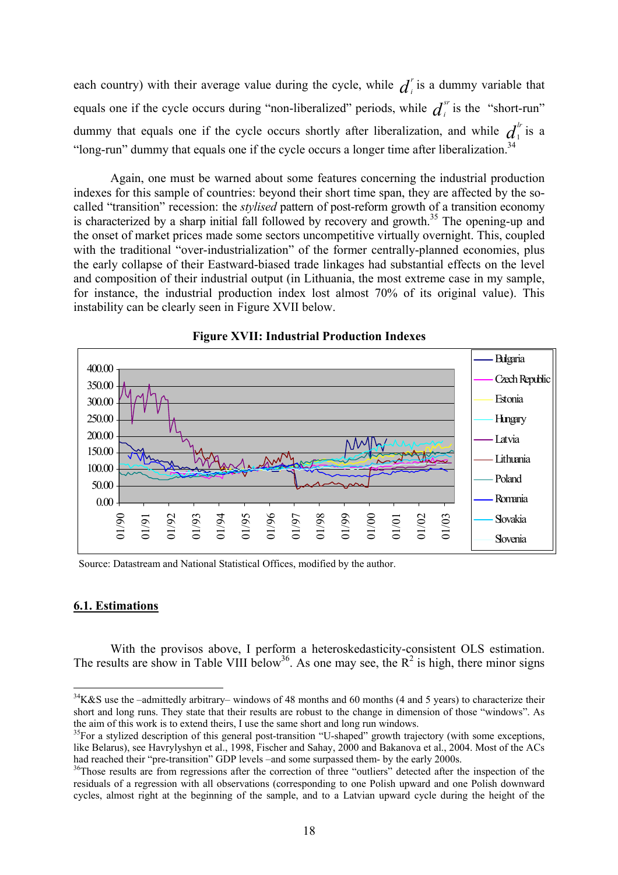<span id="page-17-2"></span>each country) with their average value during the cycle, while  $d_i^r$  is a dummy variable that equals one if the cycle occurs during "non-liberalized" periods, while  $d_i^{s}$  is the "short-run" dummy that equals one if the cycle occurs shortly after liberalization, and while  $d_i^r$  is a "long-run" dummy that equals one if the cycle occurs a longer time after liberalization.<sup>34</sup> *i i* 1

Again, one must be warned about some features concerning the industrial production indexes for this sample of countries: beyond their short time span, they are affected by the socalled "transition" recession: the *stylised* pattern of post-reform growth of a transition economy is characterized by a sharp initial fall followed by recovery and growth.<sup>35</sup> The opening-up and the onset of market prices made some sectors uncompetitive virtually overnight. This, coupled with the traditional "over-industrialization" of the former centrally-planned economies, plus the early collapse of their Eastward-biased trade linkages had substantial effects on the level and composition of their industrial output (in Lithuania, the most extreme case in my sample, for instance, the industrial production index lost almost 70% of its original value). This instability can be clearly seen in Figure XVII below.



#### **Figure XVII: Industrial Production Indexes**

Source: Datastream and National Statistical Offices, modified by the author.

#### **6.1. Estimations**

1

With the provisos above, I perform a heteroskedasticity-consistent OLS estimation. The results are show in Table VIII below<sup>36</sup>. As one may see, the  $R^2$  is high, there minor signs

<span id="page-17-0"></span> $34K&S$  use the –admittedly arbitrary– windows of 48 months and 60 months (4 and 5 years) to characterize their short and long runs. They state that their results are robust to the change in dimension of those "windows". As the aim of this work is to extend theirs, I use the same short and long run windows.<br><sup>35</sup>For a stylized description of this general post-transition "U-shaped" growth trajectory (with some exceptions,

<span id="page-17-1"></span>like Belarus), see Havrylyshyn et al., 1998, Fischer and Sahay, 2000 and Bakanova et al., 2004. Most of the ACs<br>had reached their "pre-transition" GDP levels –and some surpassed them- by the early 2000s.

 $10^{36}$ Those results are from regressions after the correction of three "outliers" detected after the inspection of the residuals of a regression with all observations (corresponding to one Polish upward and one Polish downward cycles, almost right at the beginning of the sample, and to a Latvian upward cycle during the height of the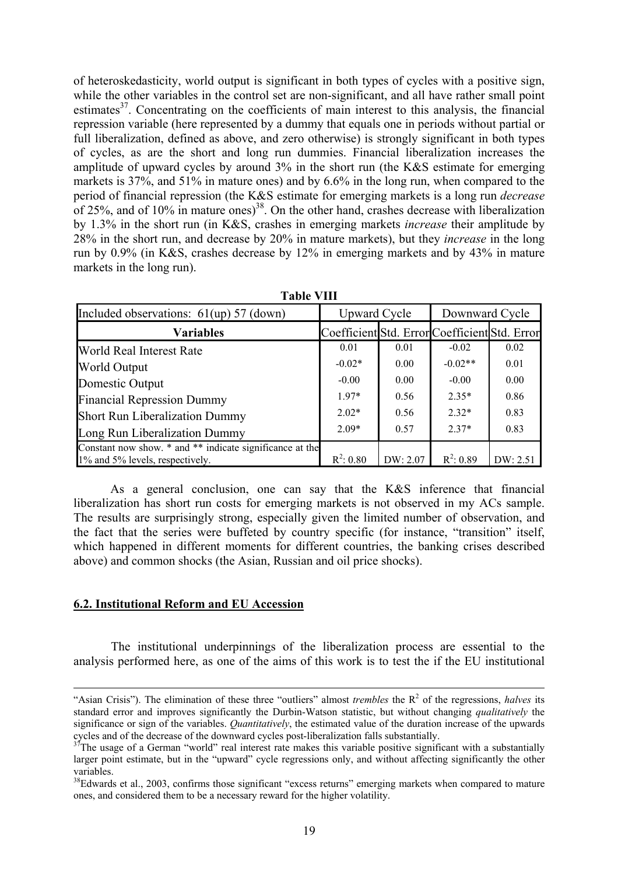of heteroskedasticity, world output is significant in both types of cycles with a positive sign, while the other variables in the control set are non-significant, and all have rather small point estimates $3^7$ . Concentrating on the coefficients of main interest to this analysis, the financial repression variable (here represented by a dummy that equals one in periods without partial or full liberalization, defined as above, and zero otherwise) is strongly significant in both types of cycles, as are the short and long run dummies. Financial liberalization increases the amplitude of upward cycles by around 3% in the short run (the K&S estimate for emerging markets is 37%, and 51% in mature ones) and by 6.6% in the long run, when compared to the period of financial repression (the K&S estimate for emerging markets is a long run *decrease* of 25%, and of 10% in mature ones)<sup>38</sup>. On the other hand, crashes decrease with liberalization by 1.3% in the short run (in K&S, crashes in emerging markets *increase* their amplitude by 28% in the short run, and decrease by 20% in mature markets), but they *increase* in the long run by 0.9% (in K&S, crashes decrease by 12% in emerging markets and by 43% in mature markets in the long run).

| <b>Table VIII</b>                                                                           |                                               |          |                |          |  |  |  |
|---------------------------------------------------------------------------------------------|-----------------------------------------------|----------|----------------|----------|--|--|--|
| Included observations: 61(up) 57 (down)                                                     | <b>Upward Cycle</b>                           |          | Downward Cycle |          |  |  |  |
| <b>Variables</b>                                                                            | Coefficient Std. Error Coefficient Std. Error |          |                |          |  |  |  |
| World Real Interest Rate                                                                    | 0.01                                          | 0.01     | $-0.02$        | 0.02     |  |  |  |
| World Output                                                                                | $-0.02*$                                      | 0.00     | $-0.02**$      | 0.01     |  |  |  |
| Domestic Output                                                                             | $-0.00$                                       | 0.00     | $-0.00$        | 0.00     |  |  |  |
| <b>Financial Repression Dummy</b>                                                           | $1.97*$                                       | 0.56     | $2.35*$        | 0.86     |  |  |  |
| <b>Short Run Liberalization Dummy</b>                                                       | $2.02*$                                       | 0.56     | $2.32*$        | 0.83     |  |  |  |
| Long Run Liberalization Dummy                                                               | $2.09*$                                       | 0.57     | $2.37*$        | 0.83     |  |  |  |
| Constant now show. * and ** indicate significance at the<br>1% and 5% levels, respectively. | $R^2: 0.80$                                   | DW: 2.07 | $R^2: 0.89$    | DW: 2.51 |  |  |  |

As a general conclusion, one can say that the K&S inference that financial liberalization has short run costs for emerging markets is not observed in my ACs sample. The results are surprisingly strong, especially given the limited number of observation, and the fact that the series were buffeted by country specific (for instance, "transition" itself, which happened in different moments for different countries, the banking crises described above) and common shocks (the Asian, Russian and oil price shocks).

#### **6.2. Institutional Reform and EU Accession**

The institutional underpinnings of the liberalization process are essential to the analysis performed here, as one of the aims of this work is to test the if the EU institutional

 <sup>&</sup>quot;Asian Crisis"). The elimination of these three "outliers" almost *trembles* the R2 of the regressions, *halves* its standard error and improves significantly the Durbin-Watson statistic, but without changing *qualitatively* the significance or sign of the variables. *Quantitatively*, the estimated value of the duration increase of the upwards cycles and of the decrease of the downward cycles post-liberalization falls substantially.<br><sup>37</sup>The usage of a German "world" real interest rate makes this variable positive significant with a substantially

<span id="page-18-0"></span>larger point estimate, but in the "upward" cycle regressions only, and without affecting significantly the other variables.<br><sup>38</sup>Edwards et al., 2003, confirms those significant "excess returns" emerging markets when compared to mature

<span id="page-18-1"></span>ones, and considered them to be a necessary reward for the higher volatility.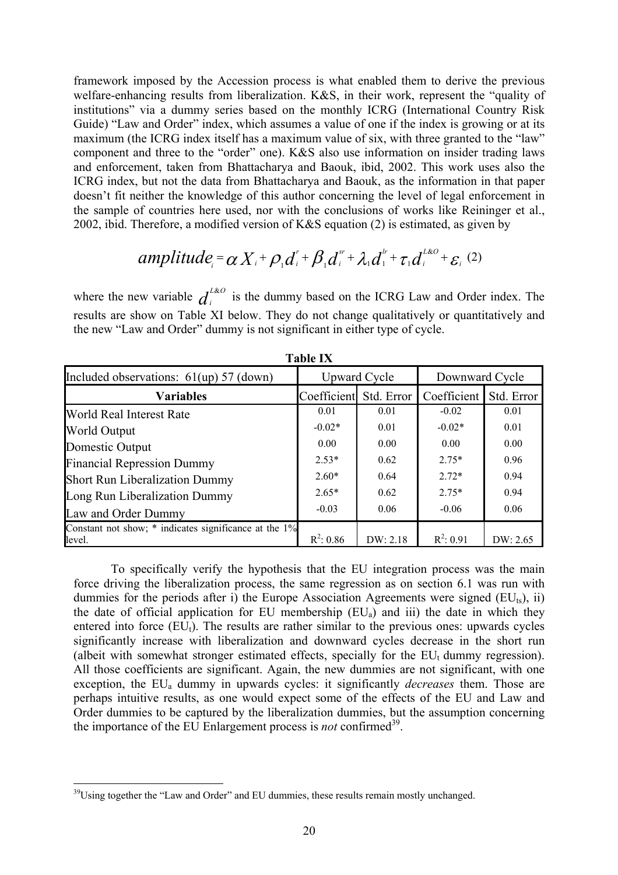framework imposed by the Accession process is what enabled them to derive the previous welfare-enhancing results from liberalization. K&S, in their work, represent the "quality of institutions" via a dummy series based on the monthly ICRG (International Country Risk Guide) "Law and Order" index, which assumes a value of one if the index is growing or at its maximum (the ICRG index itself has a maximum value of six, with three granted to the "law" component and three to the "order" one). K&S also use information on insider trading laws and enforcement, taken from Bhattacharya and Baouk, ibid, 2002. This work uses also the ICRG index, but not the data from Bhattacharya and Baouk, as the information in that paper doesn't fit neither the knowledge of this author concerning the level of legal enforcement in the sample of countries here used, nor with the conclusions of works like Reininger et al., 2002, ibid. Therefore, a modified version of K&S equation (2) is estimated, as given by

amplitude<sub>i</sub> = 
$$
\alpha X_i + \rho_i d_i^r + \beta_i d_i^{s^r} + \lambda_i d_i^{r^r} + \tau_i d_i^{l\&0} + \varepsilon_i
$$
 (2)

where the new variable  $d_i^{L\&O}$  is the dummy based on the ICRG Law and Order index. The results are show on Table XI below. They do not change qualitatively or quantitatively and the new "Law and Order" dummy is not significant in either type of cycle. &

|                                                                      | і апіс і Л  |                     |                |            |  |  |  |  |
|----------------------------------------------------------------------|-------------|---------------------|----------------|------------|--|--|--|--|
| Included observations: $61(up) 57 (down)$                            |             | <b>Upward Cycle</b> | Downward Cycle |            |  |  |  |  |
| <b>Variables</b>                                                     | Coefficient | Std. Error          | Coefficient    | Std. Error |  |  |  |  |
| World Real Interest Rate                                             | 0.01        | 0.01                | $-0.02$        | 0.01       |  |  |  |  |
| World Output                                                         | $-0.02*$    | 0.01                | $-0.02*$       | 0.01       |  |  |  |  |
| Domestic Output                                                      | 0.00        | 0.00                | 0.00           | 0.00       |  |  |  |  |
| <b>Financial Repression Dummy</b>                                    | $2.53*$     | 0.62                | $2.75*$        | 0.96       |  |  |  |  |
| <b>Short Run Liberalization Dummy</b>                                | $2.60*$     | 0.64                | $2.72*$        | 0.94       |  |  |  |  |
| Long Run Liberalization Dummy                                        | $2.65*$     | 0.62                | $2.75*$        | 0.94       |  |  |  |  |
| Law and Order Dummy                                                  | $-0.03$     | 0.06                | $-0.06$        | 0.06       |  |  |  |  |
| Constant not show; $*$ indicates significance at the $1\%$<br>level. | $R^2: 0.86$ | DW: 2.18            | $R^2: 0.91$    | DW: 2.65   |  |  |  |  |

**Table IX** 

To specifically verify the hypothesis that the EU integration process was the main force driving the liberalization process, the same regression as on section 6.1 was run with dummies for the periods after i) the Europe Association Agreements were signed  $(EU_{ts})$ , ii) the date of official application for EU membership  $(EU_a)$  and iii) the date in which they entered into force  $(EU_t)$ . The results are rather similar to the previous ones: upwards cycles significantly increase with liberalization and downward cycles decrease in the short run (albeit with somewhat stronger estimated effects, specially for the  $EU<sub>t</sub>$  dummy regression). All those coefficients are significant. Again, the new dummies are not significant, with one exception, the EU<sub>a</sub> dummy in upwards cycles: it significantly *decreases* them. Those are perhaps intuitive results, as one would expect some of the effects of the EU and Law and Order dummies to be captured by the liberalization dummies, but the assumption concerning the importance of the EU Enlargement process is *not* confirmed<sup>39</sup>.

<span id="page-19-0"></span> $39$ Using together the "Law and Order" and EU dummies, these results remain mostly unchanged.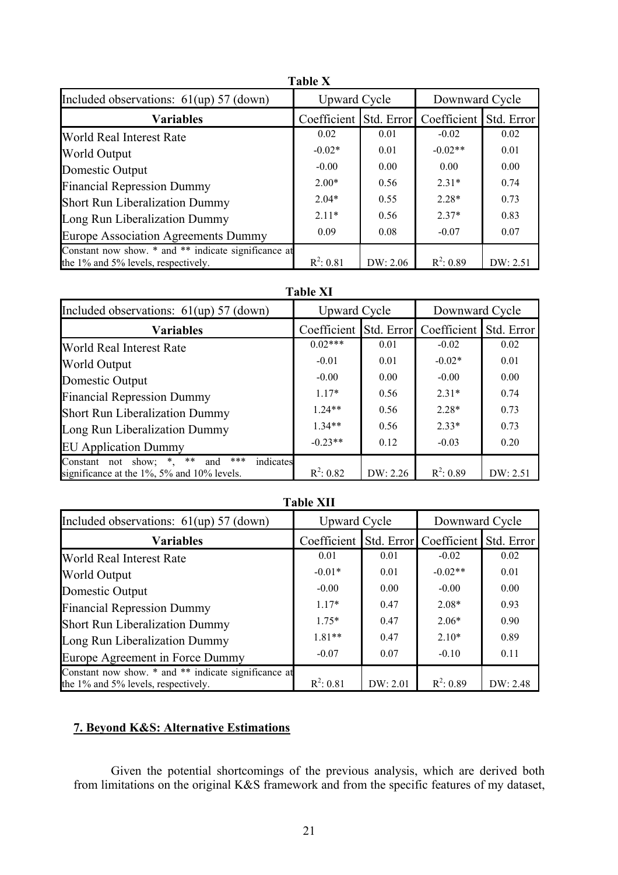| <b>Table X</b>                                                                              |                        |          |                |            |  |  |  |  |
|---------------------------------------------------------------------------------------------|------------------------|----------|----------------|------------|--|--|--|--|
| Included observations: $61(up) 57 (down)$                                                   | <b>Upward Cycle</b>    |          | Downward Cycle |            |  |  |  |  |
| <b>Variables</b>                                                                            | Coefficient Std. Error |          | Coefficient    | Std. Error |  |  |  |  |
| World Real Interest Rate                                                                    | 0.02                   | 0.01     | $-0.02$        | 0.02       |  |  |  |  |
| World Output                                                                                | $-0.02*$               | 0.01     | $-0.02**$      | 0.01       |  |  |  |  |
| Domestic Output                                                                             | $-0.00$                | 0.00     | 0.00           | 0.00       |  |  |  |  |
| <b>Financial Repression Dummy</b>                                                           | $2.00*$                | 0.56     | $2.31*$        | 0.74       |  |  |  |  |
| <b>Short Run Liberalization Dummy</b>                                                       | $2.04*$                | 0.55     | $2.28*$        | 0.73       |  |  |  |  |
| Long Run Liberalization Dummy                                                               | $211*$                 | 0.56     | $2.37*$        | 0.83       |  |  |  |  |
| <b>Europe Association Agreements Dummy</b>                                                  | 0.09                   | 0.08     | $-0.07$        | 0.07       |  |  |  |  |
| Constant now show. * and ** indicate significance at<br>the 1% and 5% levels, respectively. | $R^2: 0.81$            | DW: 2.06 | $R^2: 0.89$    | DW: 2.51   |  |  |  |  |

#### **Table XI**

| Included observations: $61(up) 57 (down)$                                                                  | <b>Upward Cycle</b> |            | Downward Cycle |            |
|------------------------------------------------------------------------------------------------------------|---------------------|------------|----------------|------------|
| <b>Variables</b>                                                                                           | Coefficient         | Std. Error | Coefficient    | Std. Error |
| World Real Interest Rate                                                                                   | $0.02***$           | 0.01       | $-0.02$        | 0.02       |
| World Output                                                                                               | $-0.01$             | 0.01       | $-0.02*$       | 0.01       |
| Domestic Output                                                                                            | $-0.00$             | 0.00       | $-0.00$        | 0.00       |
| <b>Financial Repression Dummy</b>                                                                          | $1.17*$             | 0.56       | $2.31*$        | 0.74       |
| <b>Short Run Liberalization Dummy</b>                                                                      | $1.24**$            | 0.56       | $2.28*$        | 0.73       |
| Long Run Liberalization Dummy                                                                              | $1.34**$            | 0.56       | $2.33*$        | 0.73       |
| <b>EU Application Dummy</b>                                                                                | $-0.23**$           | 0.12       | $-0.03$        | 0.20       |
| $***$<br>Constant not show; $*$ ,<br>***<br>indicates<br>and<br>significance at the 1%, 5% and 10% levels. | $R^2$ : 0.82        | DW: 2.26   | $R^2: 0.89$    | DW: 2.51   |

| <b>Table XII</b>                                                                            |              |            |                |            |  |  |  |  |
|---------------------------------------------------------------------------------------------|--------------|------------|----------------|------------|--|--|--|--|
| Included observations: $61(up) 57 (down)$                                                   | Upward Cycle |            | Downward Cycle |            |  |  |  |  |
| <b>Variables</b>                                                                            | Coefficient  | Std. Error | Coefficient    | Std. Error |  |  |  |  |
| World Real Interest Rate                                                                    | 0.01         | 0.01       | $-0.02$        | 0.02       |  |  |  |  |
| World Output                                                                                | $-0.01*$     | 0.01       | $-0.02**$      | 0.01       |  |  |  |  |
| Domestic Output                                                                             | $-0.00$      | 0.00       | $-0.00$        | 0.00       |  |  |  |  |
| <b>Financial Repression Dummy</b>                                                           | $1.17*$      | 0.47       | $2.08*$        | 0.93       |  |  |  |  |
| <b>Short Run Liberalization Dummy</b>                                                       | $1.75*$      | 0.47       | $2.06*$        | 0.90       |  |  |  |  |
| Long Run Liberalization Dummy                                                               | $1.81**$     | 0.47       | $2.10*$        | 0.89       |  |  |  |  |
| Europe Agreement in Force Dummy                                                             | $-0.07$      | 0.07       | $-0.10$        | 0.11       |  |  |  |  |
| Constant now show. * and ** indicate significance at<br>the 1% and 5% levels, respectively. | $R^2: 0.81$  | DW: 2.01   | $R^2: 0.89$    | DW: 2.48   |  |  |  |  |

# **7. Beyond K&S: Alternative Estimations**

Given the potential shortcomings of the previous analysis, which are derived both from limitations on the original K&S framework and from the specific features of my dataset,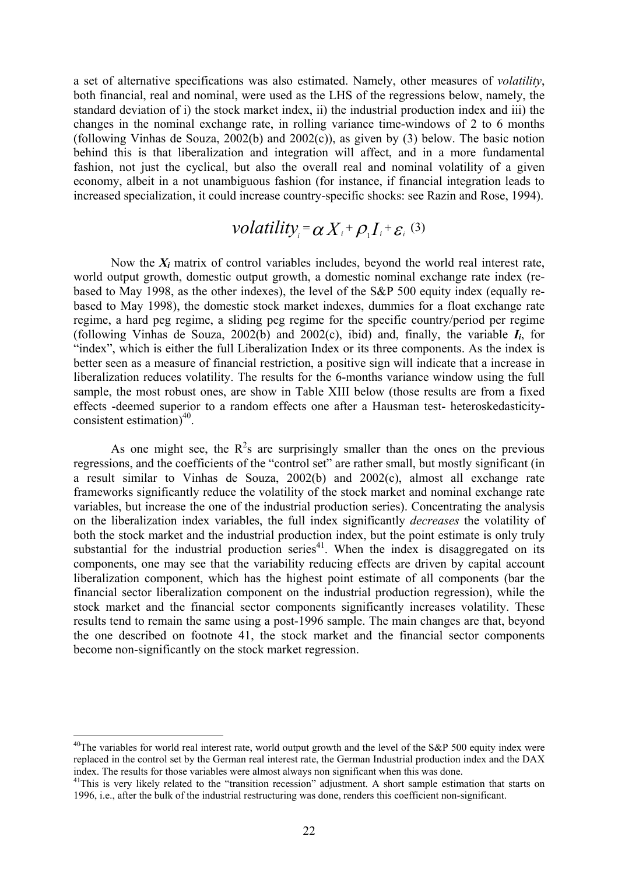a set of alternative specifications was also estimated. Namely, other measures of *volatility*, both financial, real and nominal, were used as the LHS of the regressions below, namely, the standard deviation of i) the stock market index, ii) the industrial production index and iii) the changes in the nominal exchange rate, in rolling variance time-windows of 2 to 6 months (following Vinhas de Souza, 2002(b) and 2002(c)), as given by (3) below. The basic notion behind this is that liberalization and integration will affect, and in a more fundamental fashion, not just the cyclical, but also the overall real and nominal volatility of a given economy, albeit in a not unambiguous fashion (for instance, if financial integration leads to increased specialization, it could increase country-specific shocks: see Razin and Rose, 1994).

# $\textit{volatility}_{i} = \alpha X_{i} + \rho_{i} I_{i} + \varepsilon_{i}$  (3)

Now the *Xi* matrix of control variables includes, beyond the world real interest rate, world output growth, domestic output growth, a domestic nominal exchange rate index (rebased to May 1998, as the other indexes), the level of the S&P 500 equity index (equally rebased to May 1998), the domestic stock market indexes, dummies for a float exchange rate regime, a hard peg regime, a sliding peg regime for the specific country/period per regime (following Vinhas de Souza, 2002(b) and 2002(c), ibid) and, finally, the variable  $I_i$ , for "index", which is either the full Liberalization Index or its three components. As the index is better seen as a measure of financial restriction, a positive sign will indicate that a increase in liberalization reduces volatility. The results for the 6-months variance window using the full sample, the most robust ones, are show in Table XIII below (those results are from a fixed effects -deemed superior to a random effects one after a Hausman test- heteroskedasticityconsistent estimation $)^{40}$ .

As one might see, the  $R^2$ s are surprisingly smaller than the ones on the previous regressions, and the coefficients of the "control set" are rather small, but mostly significant (in a result similar to Vinhas de Souza, 2002(b) and 2002(c), almost all exchange rate frameworks significantly reduce the volatility of the stock market and nominal exchange rate variables, but increase the one of the industrial production series). Concentrating the analysis on the liberalization index variables, the full index significantly *decreases* the volatility of both the stock market and the industrial production index, but the point estimate is only truly substantial for the industrial production series<sup>41</sup>. When the index is disaggregated on its components, one may see that the variability reducing effects are driven by capital account liberalization component, which has the highest point estimate of all components (bar the financial sector liberalization component on the industrial production regression), while the stock market and the financial sector components significantly increases volatility. These results tend to remain the same using a post-1996 sample. The main changes are that, beyond the one described on footnote 41, the stock market and the financial sector components become non-significantly on the stock market regression.

<span id="page-21-0"></span> $40$ The variables for world real interest rate, world output growth and the level of the S&P 500 equity index were replaced in the control set by the German real interest rate, the German Industrial production index and the DAX index. The results for those variables were almost always non significant when this was done.<br><sup>41</sup>This is very likely related to the "transition recession" adjustment. A short sample estimation that starts on

<span id="page-21-1"></span><sup>1996,</sup> i.e., after the bulk of the industrial restructuring was done, renders this coefficient non-significant.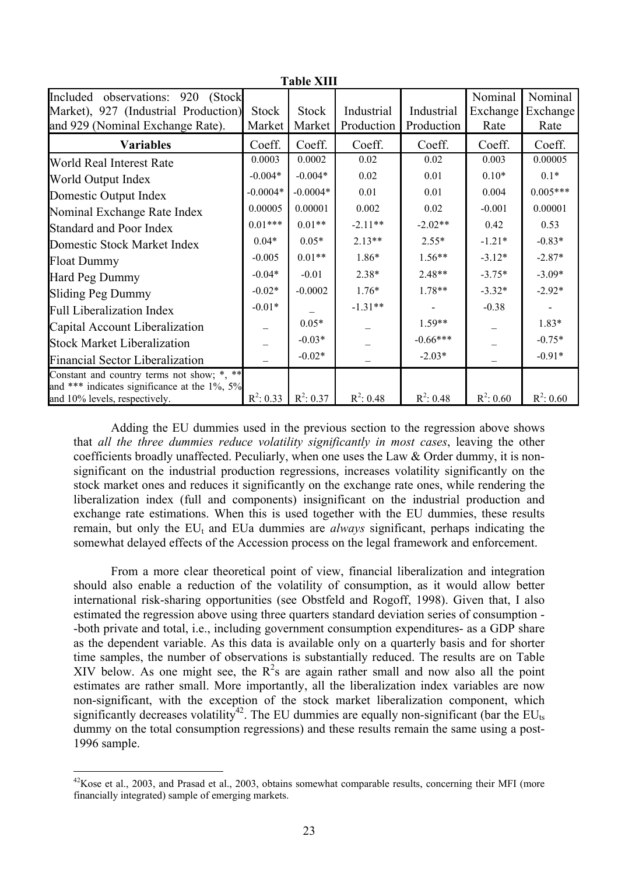| Table AIII                                                                           |              |              |              |             |             |             |  |  |  |
|--------------------------------------------------------------------------------------|--------------|--------------|--------------|-------------|-------------|-------------|--|--|--|
| Included observations: 920<br>(Stock)                                                |              |              |              |             | Nominal     | Nominal     |  |  |  |
| Market), 927 (Industrial Production)                                                 | <b>Stock</b> | <b>Stock</b> | Industrial   | Industrial  | Exchange    | Exchange    |  |  |  |
| and 929 (Nominal Exchange Rate).                                                     | Market       | Market       | Production   | Production  | Rate        | Rate        |  |  |  |
| <b>Variables</b>                                                                     | Coeff.       | Coeff.       | Coeff.       | Coeff.      | Coeff.      | Coeff.      |  |  |  |
| World Real Interest Rate                                                             | 0.0003       | 0.0002       | 0.02         | 0.02        | 0.003       | 0.00005     |  |  |  |
| World Output Index                                                                   | $-0.004*$    | $-0.004*$    | 0.02         | 0.01        | $0.10*$     | $0.1*$      |  |  |  |
| Domestic Output Index                                                                | $-0.0004*$   | $-0.0004*$   | 0.01         | 0.01        | 0.004       | $0.005***$  |  |  |  |
| Nominal Exchange Rate Index                                                          | 0.00005      | 0.00001      | 0.002        | 0.02        | $-0.001$    | 0.00001     |  |  |  |
| <b>Standard and Poor Index</b>                                                       | $0.01***$    | $0.01**$     | $-2.11**$    | $-2.02**$   | 0.42        | 0.53        |  |  |  |
| Domestic Stock Market Index                                                          | $0.04*$      | $0.05*$      | $2.13**$     | $2.55*$     | $-1.21*$    | $-0.83*$    |  |  |  |
| <b>Float Dummy</b>                                                                   | $-0.005$     | $0.01**$     | 1.86*        | $1.56**$    | $-3.12*$    | $-2.87*$    |  |  |  |
| Hard Peg Dummy                                                                       | $-0.04*$     | $-0.01$      | $2.38*$      | $2.48**$    | $-3.75*$    | $-3.09*$    |  |  |  |
| <b>Sliding Peg Dummy</b>                                                             | $-0.02*$     | $-0.0002$    | $1.76*$      | $1.78**$    | $-3.32*$    | $-2.92*$    |  |  |  |
| <b>Full Liberalization Index</b>                                                     | $-0.01*$     |              | $-1.31**$    |             | $-0.38$     |             |  |  |  |
| Capital Account Liberalization                                                       |              | $0.05*$      |              | $1.59**$    |             | $1.83*$     |  |  |  |
| <b>Stock Market Liberalization</b>                                                   |              | $-0.03*$     |              | $-0.66***$  |             | $-0.75*$    |  |  |  |
| <b>Financial Sector Liberalization</b>                                               |              | $-0.02*$     |              | $-2.03*$    |             | $-0.91*$    |  |  |  |
| Constant and country terms not show; *, **                                           |              |              |              |             |             |             |  |  |  |
| and *** indicates significance at the $1\%$ , $5\%$<br>and 10% levels, respectively. | $R^2$ : 0.33 | $R^2$ : 0.37 | $R^2$ : 0.48 | $R^2: 0.48$ | $R^2: 0.60$ | $R^2: 0.60$ |  |  |  |

**Table XIII** 

Adding the EU dummies used in the previous section to the regression above shows that *all the three dummies reduce volatility significantly in most cases*, leaving the other coefficients broadly unaffected. Peculiarly, when one uses the Law  $&$  Order dummy, it is nonsignificant on the industrial production regressions, increases volatility significantly on the stock market ones and reduces it significantly on the exchange rate ones, while rendering the liberalization index (full and components) insignificant on the industrial production and exchange rate estimations. When this is used together with the EU dummies, these results remain, but only the  $EU_t$  and  $EU_a$  dummies are *always* significant, perhaps indicating the somewhat delayed effects of the Accession process on the legal framework and enforcement.

From a more clear theoretical point of view, financial liberalization and integration should also enable a reduction of the volatility of consumption, as it would allow better international risk-sharing opportunities (see Obstfeld and Rogoff, 1998). Given that, I also estimated the regression above using three quarters standard deviation series of consumption - -both private and total, i.e., including government consumption expenditures- as a GDP share as the dependent variable. As this data is available only on a quarterly basis and for shorter time samples, the number of observations is substantially reduced. The results are on Table XIV below. As one might see, the  $R^2$ s are again rather small and now also all the point estimates are rather small. More importantly, all the liberalization index variables are now non-significant, with the exception of the stock market liberalization component, which significantly decreases volatility<sup>42</sup>. The EU dummies are equally non-significant (bar the EU<sub>ts</sub>) dummy on the total consumption regressions) and these results remain the same using a post-1996 sample.

<span id="page-22-0"></span> $^{42}$ Kose et al., 2003, and Prasad et al., 2003, obtains somewhat comparable results, concerning their MFI (more financially integrated) sample of emerging markets.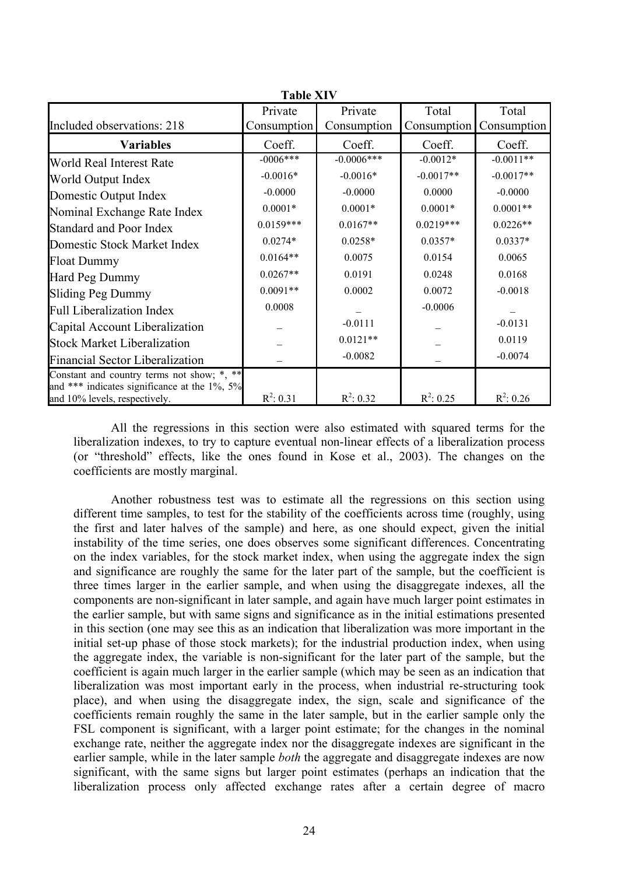| <b>TADIE ATV</b>                                                              |              |               |              |              |  |  |  |  |
|-------------------------------------------------------------------------------|--------------|---------------|--------------|--------------|--|--|--|--|
|                                                                               | Private      | Private       | Total        | Total        |  |  |  |  |
| Included observations: 218                                                    | Consumption  | Consumption   | Consumption  | Consumption  |  |  |  |  |
| <b>Variables</b>                                                              | Coeff.       | Coeff.        | Coeff.       | Coeff.       |  |  |  |  |
| World Real Interest Rate                                                      | $-0006***$   | $-0.0006$ *** | $-0.0012*$   | $-0.0011**$  |  |  |  |  |
| World Output Index                                                            | $-0.0016*$   | $-0.0016*$    | $-0.0017**$  | $-0.0017**$  |  |  |  |  |
| Domestic Output Index                                                         | $-0.0000$    | $-0.0000$     | 0.0000       | $-0.0000$    |  |  |  |  |
| Nominal Exchange Rate Index                                                   | $0.0001*$    | $0.0001*$     | $0.0001*$    | $0.0001**$   |  |  |  |  |
| <b>Standard and Poor Index</b>                                                | $0.0159***$  | $0.0167**$    | $0.0219***$  | $0.0226**$   |  |  |  |  |
| Domestic Stock Market Index                                                   | $0.0274*$    | $0.0258*$     | $0.0357*$    | $0.0337*$    |  |  |  |  |
| <b>Float Dummy</b>                                                            | $0.0164**$   | 0.0075        | 0.0154       | 0.0065       |  |  |  |  |
| Hard Peg Dummy                                                                | $0.0267**$   | 0.0191        | 0.0248       | 0.0168       |  |  |  |  |
| <b>Sliding Peg Dummy</b>                                                      | $0.0091**$   | 0.0002        | 0.0072       | $-0.0018$    |  |  |  |  |
| <b>Full Liberalization Index</b>                                              | 0.0008       |               | $-0.0006$    |              |  |  |  |  |
| Capital Account Liberalization                                                |              | $-0.0111$     |              | $-0.0131$    |  |  |  |  |
| <b>Stock Market Liberalization</b>                                            |              | $0.0121**$    |              | 0.0119       |  |  |  |  |
| <b>Financial Sector Liberalization</b>                                        |              | $-0.0082$     |              | $-0.0074$    |  |  |  |  |
| Constant and country terms not show; *, **                                    |              |               |              |              |  |  |  |  |
| and *** indicates significance at the 1%, 5%<br>and 10% levels, respectively. | $R^2$ : 0.31 | $R^2$ : 0.32  | $R^2$ : 0.25 | $R^2$ : 0.26 |  |  |  |  |

**Table XIV XIV XI** 

All the regressions in this section were also estimated with squared terms for the liberalization indexes, to try to capture eventual non-linear effects of a liberalization process (or "threshold" effects, like the ones found in Kose et al., 2003). The changes on the coefficients are mostly marginal.

Another robustness test was to estimate all the regressions on this section using different time samples, to test for the stability of the coefficients across time (roughly, using the first and later halves of the sample) and here, as one should expect, given the initial instability of the time series, one does observes some significant differences. Concentrating on the index variables, for the stock market index, when using the aggregate index the sign and significance are roughly the same for the later part of the sample, but the coefficient is three times larger in the earlier sample, and when using the disaggregate indexes, all the components are non-significant in later sample, and again have much larger point estimates in the earlier sample, but with same signs and significance as in the initial estimations presented in this section (one may see this as an indication that liberalization was more important in the initial set-up phase of those stock markets); for the industrial production index, when using the aggregate index, the variable is non-significant for the later part of the sample, but the coefficient is again much larger in the earlier sample (which may be seen as an indication that liberalization was most important early in the process, when industrial re-structuring took place), and when using the disaggregate index, the sign, scale and significance of the coefficients remain roughly the same in the later sample, but in the earlier sample only the FSL component is significant, with a larger point estimate; for the changes in the nominal exchange rate, neither the aggregate index nor the disaggregate indexes are significant in the earlier sample, while in the later sample *both* the aggregate and disaggregate indexes are now significant, with the same signs but larger point estimates (perhaps an indication that the liberalization process only affected exchange rates after a certain degree of macro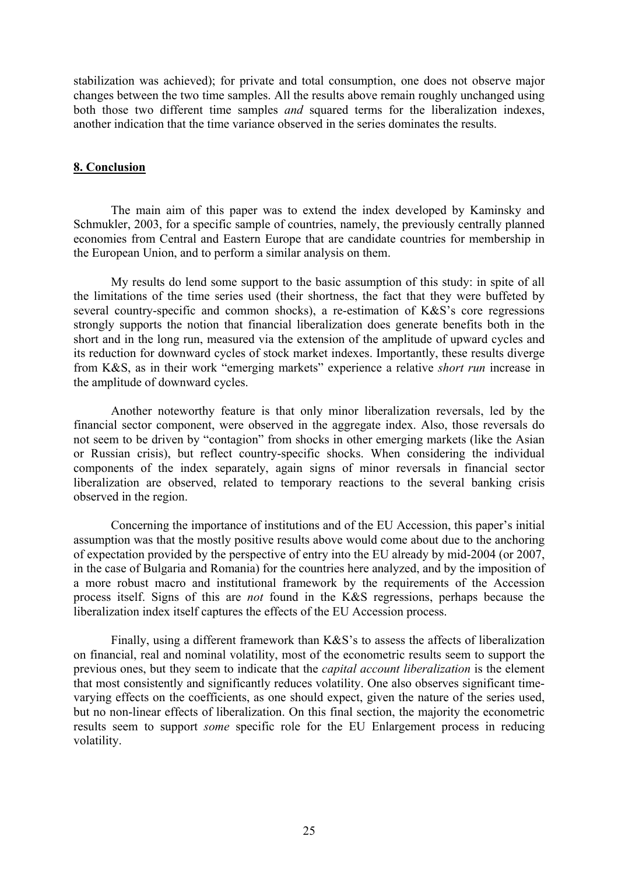stabilization was achieved); for private and total consumption, one does not observe major changes between the two time samples. All the results above remain roughly unchanged using both those two different time samples *and* squared terms for the liberalization indexes, another indication that the time variance observed in the series dominates the results.

#### **8. Conclusion**

The main aim of this paper was to extend the index developed by Kaminsky and Schmukler, 2003, for a specific sample of countries, namely, the previously centrally planned economies from Central and Eastern Europe that are candidate countries for membership in the European Union, and to perform a similar analysis on them.

My results do lend some support to the basic assumption of this study: in spite of all the limitations of the time series used (their shortness, the fact that they were buffeted by several country-specific and common shocks), a re-estimation of K&S's core regressions strongly supports the notion that financial liberalization does generate benefits both in the short and in the long run, measured via the extension of the amplitude of upward cycles and its reduction for downward cycles of stock market indexes. Importantly, these results diverge from K&S, as in their work "emerging markets" experience a relative *short run* increase in the amplitude of downward cycles.

Another noteworthy feature is that only minor liberalization reversals, led by the financial sector component, were observed in the aggregate index. Also, those reversals do not seem to be driven by "contagion" from shocks in other emerging markets (like the Asian or Russian crisis), but reflect country-specific shocks. When considering the individual components of the index separately, again signs of minor reversals in financial sector liberalization are observed, related to temporary reactions to the several banking crisis observed in the region.

Concerning the importance of institutions and of the EU Accession, this paper's initial assumption was that the mostly positive results above would come about due to the anchoring of expectation provided by the perspective of entry into the EU already by mid-2004 (or 2007, in the case of Bulgaria and Romania) for the countries here analyzed, and by the imposition of a more robust macro and institutional framework by the requirements of the Accession process itself. Signs of this are *not* found in the K&S regressions, perhaps because the liberalization index itself captures the effects of the EU Accession process.

Finally, using a different framework than K&S's to assess the affects of liberalization on financial, real and nominal volatility, most of the econometric results seem to support the previous ones, but they seem to indicate that the *capital account liberalization* is the element that most consistently and significantly reduces volatility. One also observes significant timevarying effects on the coefficients, as one should expect, given the nature of the series used, but no non-linear effects of liberalization. On this final section, the majority the econometric results seem to support *some* specific role for the EU Enlargement process in reducing volatility.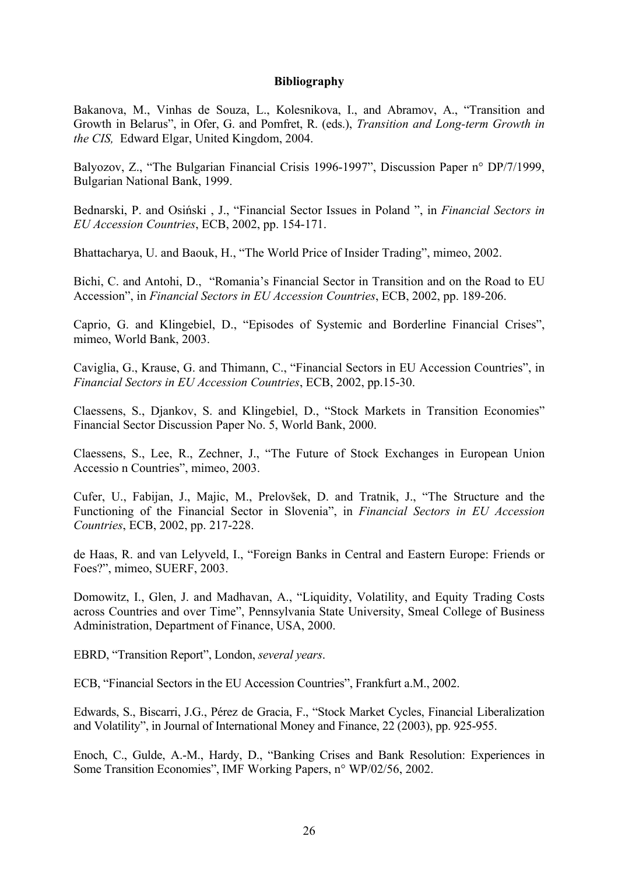#### **Bibliography**

Bakanova, M., Vinhas de Souza, L., Kolesnikova, I., and Abramov, A., "Transition and Growth in Belarus", in Ofer, G. and Pomfret, R. (eds.), *Transition and Long-term Growth in the CIS,* Edward Elgar, United Kingdom, 2004.

Balyozov, Z., "The Bulgarian Financial Crisis 1996-1997", Discussion Paper n° DP/7/1999, Bulgarian National Bank, 1999.

Bednarski, P. and Osiński , J., "Financial Sector Issues in Poland ", in *Financial Sectors in EU Accession Countries*, ECB, 2002, pp. 154-171.

Bhattacharya, U. and Baouk, H., "The World Price of Insider Trading", mimeo, 2002.

Bichi, C. and Antohi, D., "Romania's Financial Sector in Transition and on the Road to EU Accession", in *Financial Sectors in EU Accession Countries*, ECB, 2002, pp. 189-206.

Caprio, G. and Klingebiel, D., "Episodes of Systemic and Borderline Financial Crises", mimeo, World Bank, 2003.

Caviglia, G., Krause, G. and Thimann, C., "Financial Sectors in EU Accession Countries", in *Financial Sectors in EU Accession Countries*, ECB, 2002, pp.15-30.

Claessens, S., Djankov, S. and Klingebiel, D., "Stock Markets in Transition Economies" Financial Sector Discussion Paper No. 5, World Bank, 2000.

Claessens, S., Lee, R., Zechner, J., "The Future of Stock Exchanges in European Union Accessio n Countries", mimeo, 2003.

Cufer, U., Fabijan, J., Majic, M., Prelovšek, D. and Tratnik, J., "The Structure and the Functioning of the Financial Sector in Slovenia", in *Financial Sectors in EU Accession Countries*, ECB, 2002, pp. 217-228.

de Haas, R. and van Lelyveld, I., "Foreign Banks in Central and Eastern Europe: Friends or Foes?", mimeo, SUERF, 2003.

Domowitz, I., Glen, J. and Madhavan, A., "Liquidity, Volatility, and Equity Trading Costs across Countries and over Time", Pennsylvania State University, Smeal College of Business Administration, Department of Finance, USA, 2000.

EBRD, "Transition Report", London, *several years*.

ECB, "Financial Sectors in the EU Accession Countries", Frankfurt a.M., 2002.

Edwards, S., Biscarri, J.G., Pérez de Gracia, F., "Stock Market Cycles, Financial Liberalization and Volatility", in Journal of International Money and Finance, 22 (2003), pp. 925-955.

Enoch, C., Gulde, A.-M., Hardy, D., "Banking Crises and Bank Resolution: Experiences in Some Transition Economies", IMF Working Papers, n° WP/02/56, 2002.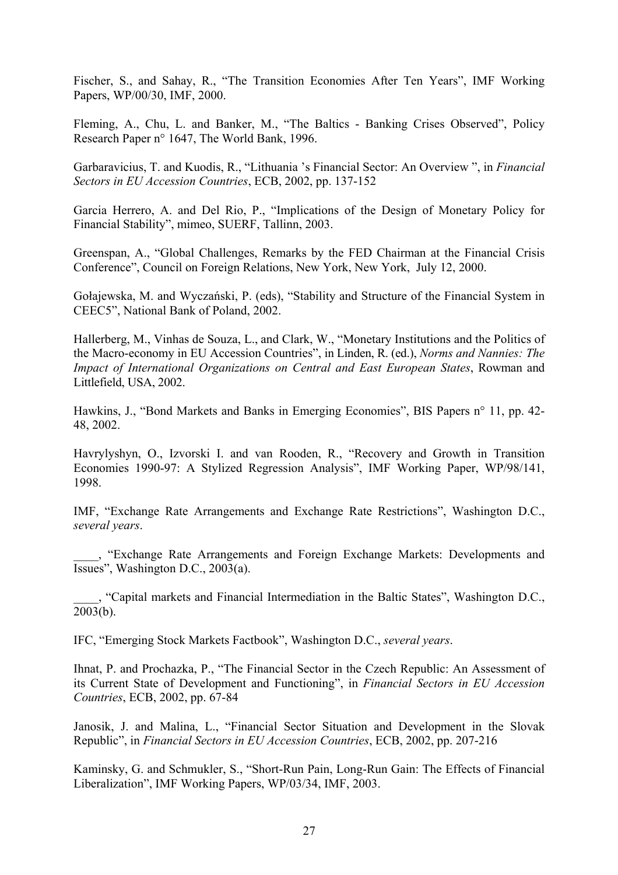Fischer, S., and Sahay, R., "The Transition Economies After Ten Years", IMF Working Papers, WP/00/30, IMF, 2000.

Fleming, A., Chu, L. and Banker, M., "The Baltics - Banking Crises Observed", Policy Research Paper n° 1647, The World Bank, 1996.

Garbaravicius, T. and Kuodis, R., "Lithuania 's Financial Sector: An Overview ", in *Financial Sectors in EU Accession Countries*, ECB, 2002, pp. 137-152

Garcia Herrero, A. and Del Rio, P., "Implications of the Design of Monetary Policy for Financial Stability", mimeo, SUERF, Tallinn, 2003.

Greenspan, A., "Global Challenges, Remarks by the FED Chairman at the Financial Crisis Conference", Council on Foreign Relations, New York, New York, July 12, 2000.

Gołajewska, M. and Wyczański, P. (eds), "Stability and Structure of the Financial System in CEEC5", National Bank of Poland, 2002.

Hallerberg, M., Vinhas de Souza, L., and Clark, W., "Monetary Institutions and the Politics of the Macro-economy in EU Accession Countries", in Linden, R. (ed.), *Norms and Nannies: The Impact of International Organizations on Central and East European States*, Rowman and Littlefield, USA, 2002.

Hawkins, J., "Bond Markets and Banks in Emerging Economies", BIS Papers n° 11, pp. 42- 48, 2002.

Havrylyshyn, O., Izvorski I. and van Rooden, R., "Recovery and Growth in Transition Economies 1990-97: A Stylized Regression Analysis", IMF Working Paper, WP/98/141, 1998.

IMF, "Exchange Rate Arrangements and Exchange Rate Restrictions", Washington D.C., *several years*.

\_\_\_\_, "Exchange Rate Arrangements and Foreign Exchange Markets: Developments and Issues", Washington D.C., 2003(a).

\_\_\_\_, "Capital markets and Financial Intermediation in the Baltic States", Washington D.C., 2003(b).

IFC, "Emerging Stock Markets Factbook", Washington D.C., *several years*.

Ihnat, P. and Prochazka, P., "The Financial Sector in the Czech Republic: An Assessment of its Current State of Development and Functioning", in *Financial Sectors in EU Accession Countries*, ECB, 2002, pp. 67-84

Janosik, J. and Malina, L., "Financial Sector Situation and Development in the Slovak Republic", in *Financial Sectors in EU Accession Countries*, ECB, 2002, pp. 207-216

Kaminsky, G. and Schmukler, S., "Short-Run Pain, Long-Run Gain: The Effects of Financial Liberalization", IMF Working Papers, WP/03/34, IMF, 2003.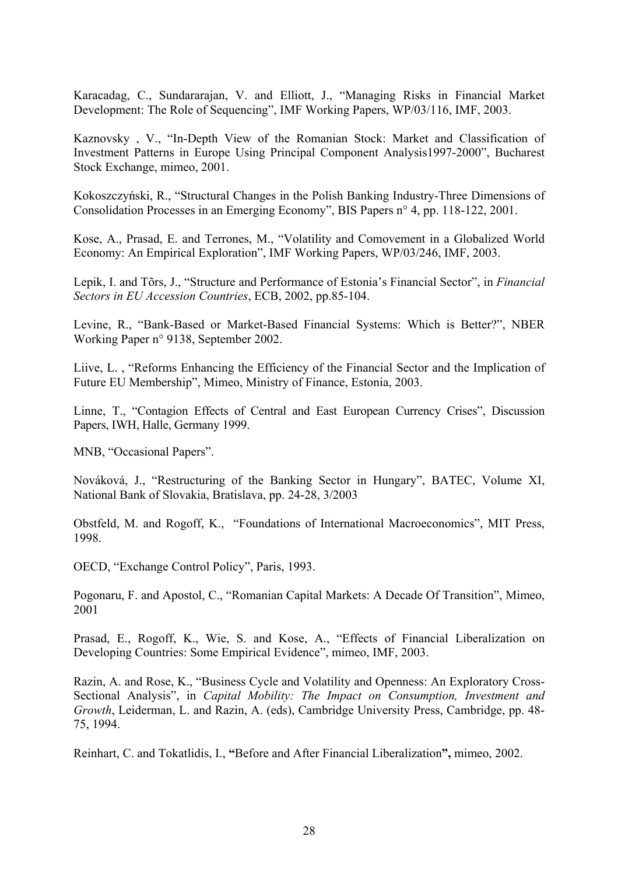Karacadag, C., Sundararajan, V. and Elliott, J., "Managing Risks in Financial Market Development: The Role of Sequencing", IMF Working Papers, WP/03/116, IMF, 2003.

Kaznovsky , V., "In-Depth View of the Romanian Stock: Market and Classification of Investment Patterns in Europe Using Principal Component Analysis1997-2000", Bucharest Stock Exchange, mimeo, 2001.

Kokoszczyński, R., "Structural Changes in the Polish Banking Industry-Three Dimensions of Consolidation Processes in an Emerging Economy", BIS Papers n° 4, pp. 118-122, 2001.

Kose, A., Prasad, E. and Terrones, M., "Volatility and Comovement in a Globalized World Economy: An Empirical Exploration", IMF Working Papers, WP/03/246, IMF, 2003.

Lepik, I. and Tõrs, J., "Structure and Performance of Estonia's Financial Sector", in *Financial Sectors in EU Accession Countries*, ECB, 2002, pp.85-104.

Levine, R., "Bank-Based or Market-Based Financial Systems: Which is Better?", NBER Working Paper n° 9138, September 2002.

Liive, L. , "Reforms Enhancing the Efficiency of the Financial Sector and the Implication of Future EU Membership", Mimeo, Ministry of Finance, Estonia, 2003.

Linne, T., "Contagion Effects of Central and East European Currency Crises", Discussion Papers, IWH, Halle, Germany 1999.

MNB, "Occasional Papers".

Nováková, J., "Restructuring of the Banking Sector in Hungary", BATEC, Volume XI, National Bank of Slovakia, Bratislava, pp. 24-28, 3/2003

Obstfeld, M. and Rogoff, K., "Foundations of International Macroeconomics", MIT Press, 1998.

OECD, "Exchange Control Policy", Paris, 1993.

Pogonaru, F. and Apostol, C., "Romanian Capital Markets: A Decade Of Transition", Mimeo, 2001

Prasad, E., Rogoff, K., Wie, S. and Kose, A., "Effects of Financial Liberalization on Developing Countries: Some Empirical Evidence", mimeo, IMF, 2003.

Razin, A. and Rose, K., "Business Cycle and Volatility and Openness: An Exploratory Cross-Sectional Analysis", in *Capital Mobility: The Impact on Consumption, Investment and Growth*, Leiderman, L. and Razin, A. (eds), Cambridge University Press, Cambridge, pp. 48- 75, 1994.

Reinhart, C. and Tokatlidis, I., **"**Before and After Financial Liberalization**",** mimeo, 2002.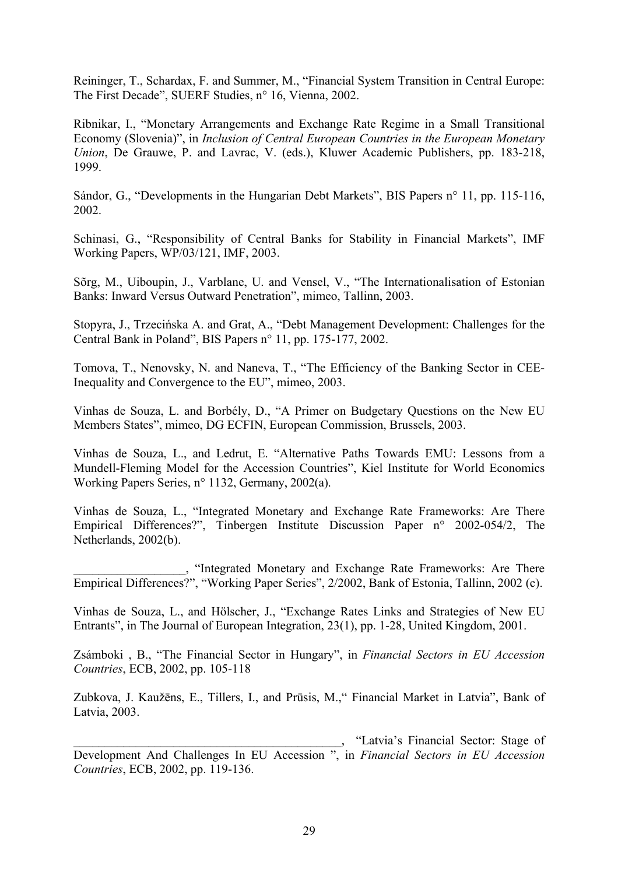Reininger, T., Schardax, F. and Summer, M., "Financial System Transition in Central Europe: The First Decade", SUERF Studies, n° 16, Vienna, 2002.

Ribnikar, I., "Monetary Arrangements and Exchange Rate Regime in a Small Transitional Economy (Slovenia)", in *Inclusion of Central European Countries in the European Monetary Union*, De Grauwe, P. and Lavrac, V. (eds.), Kluwer Academic Publishers, pp. 183-218, 1999.

Sándor, G., "Developments in the Hungarian Debt Markets", BIS Papers n° 11, pp. 115-116, 2002.

Schinasi, G., "Responsibility of Central Banks for Stability in Financial Markets", IMF Working Papers, WP/03/121, IMF, 2003.

Sõrg, M., Uiboupin, J., Varblane, U. and Vensel, V., "The Internationalisation of Estonian Banks: Inward Versus Outward Penetration", mimeo, Tallinn, 2003.

Stopyra, J., Trzecińska A. and Grat, A., "Debt Management Development: Challenges for the Central Bank in Poland", BIS Papers n° 11, pp. 175-177, 2002.

Tomova, T., Nenovsky, N. and Naneva, T., "The Efficiency of the Banking Sector in CEE-Inequality and Convergence to the EU", mimeo, 2003.

Vinhas de Souza, L. and Borbély, D., "A Primer on Budgetary Questions on the New EU Members States", mimeo, DG ECFIN, European Commission, Brussels, 2003.

Vinhas de Souza, L., and Ledrut, E. "Alternative Paths Towards EMU: Lessons from a Mundell-Fleming Model for the Accession Countries", Kiel Institute for World Economics Working Papers Series, n° 1132, Germany, 2002(a).

Vinhas de Souza, L., "Integrated Monetary and Exchange Rate Frameworks: Are There Empirical Differences?", Tinbergen Institute Discussion Paper n° 2002-054/2, The Netherlands, 2002(b).

\_\_\_\_\_\_\_\_\_\_\_\_\_\_\_\_\_\_, "Integrated Monetary and Exchange Rate Frameworks: Are There Empirical Differences?", "Working Paper Series", 2/2002, Bank of Estonia, Tallinn, 2002 (c).

Vinhas de Souza, L., and Hölscher, J., "Exchange Rates Links and Strategies of New EU Entrants", in The Journal of European Integration, 23(1), pp. 1-28, United Kingdom, 2001.

Zsámboki , B., "The Financial Sector in Hungary", in *Financial Sectors in EU Accession Countries*, ECB, 2002, pp. 105-118

Zubkova, J. Kaužēns, E., Tillers, I., and Prūsis, M.," Financial Market in Latvia", Bank of Latvia, 2003.

\_\_\_\_\_\_\_\_\_\_\_\_\_\_\_\_\_\_\_\_\_\_\_\_\_\_\_\_\_\_\_\_\_\_\_\_\_\_\_\_\_\_\_, "Latvia's Financial Sector: Stage of Development And Challenges In EU Accession ", in *Financial Sectors in EU Accession Countries*, ECB, 2002, pp. 119-136.